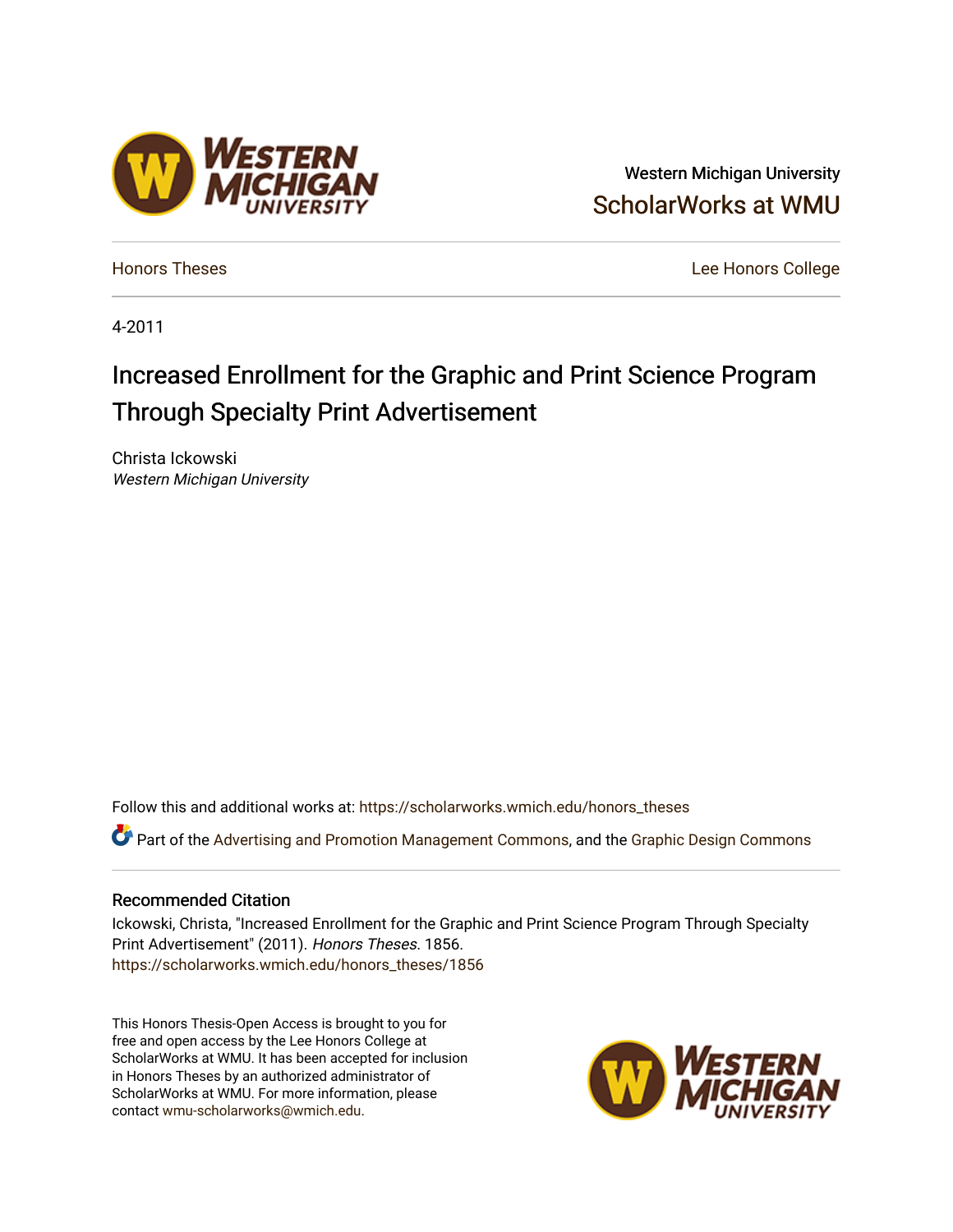## Western Michigan University [ScholarWorks at WMU](https://scholarworks.wmich.edu/)

[Honors Theses](https://scholarworks.wmich.edu/honors_theses) [Lee Honors College](https://scholarworks.wmich.edu/honors) 

4-2011

# Increased Enrollment for the Graphic and Print Science Program Through Specialty Print Advertisement

Christa Ickowski Western Michigan University

**ESTERN** 

Follow this and additional works at: [https://scholarworks.wmich.edu/honors\\_theses](https://scholarworks.wmich.edu/honors_theses?utm_source=scholarworks.wmich.edu%2Fhonors_theses%2F1856&utm_medium=PDF&utm_campaign=PDFCoverPages)

Part of the [Advertising and Promotion Management Commons,](http://network.bepress.com/hgg/discipline/626?utm_source=scholarworks.wmich.edu%2Fhonors_theses%2F1856&utm_medium=PDF&utm_campaign=PDFCoverPages) and the Graphic Design Commons

#### Recommended Citation

Ickowski, Christa, "Increased Enrollment for the Graphic and Print Science Program Through Specialty Print Advertisement" (2011). Honors Theses. 1856. [https://scholarworks.wmich.edu/honors\\_theses/1856](https://scholarworks.wmich.edu/honors_theses/1856?utm_source=scholarworks.wmich.edu%2Fhonors_theses%2F1856&utm_medium=PDF&utm_campaign=PDFCoverPages) 

This Honors Thesis-Open Access is brought to you for free and open access by the Lee Honors College at ScholarWorks at WMU. It has been accepted for inclusion in Honors Theses by an authorized administrator of ScholarWorks at WMU. For more information, please contact [wmu-scholarworks@wmich.edu](mailto:wmu-scholarworks@wmich.edu).

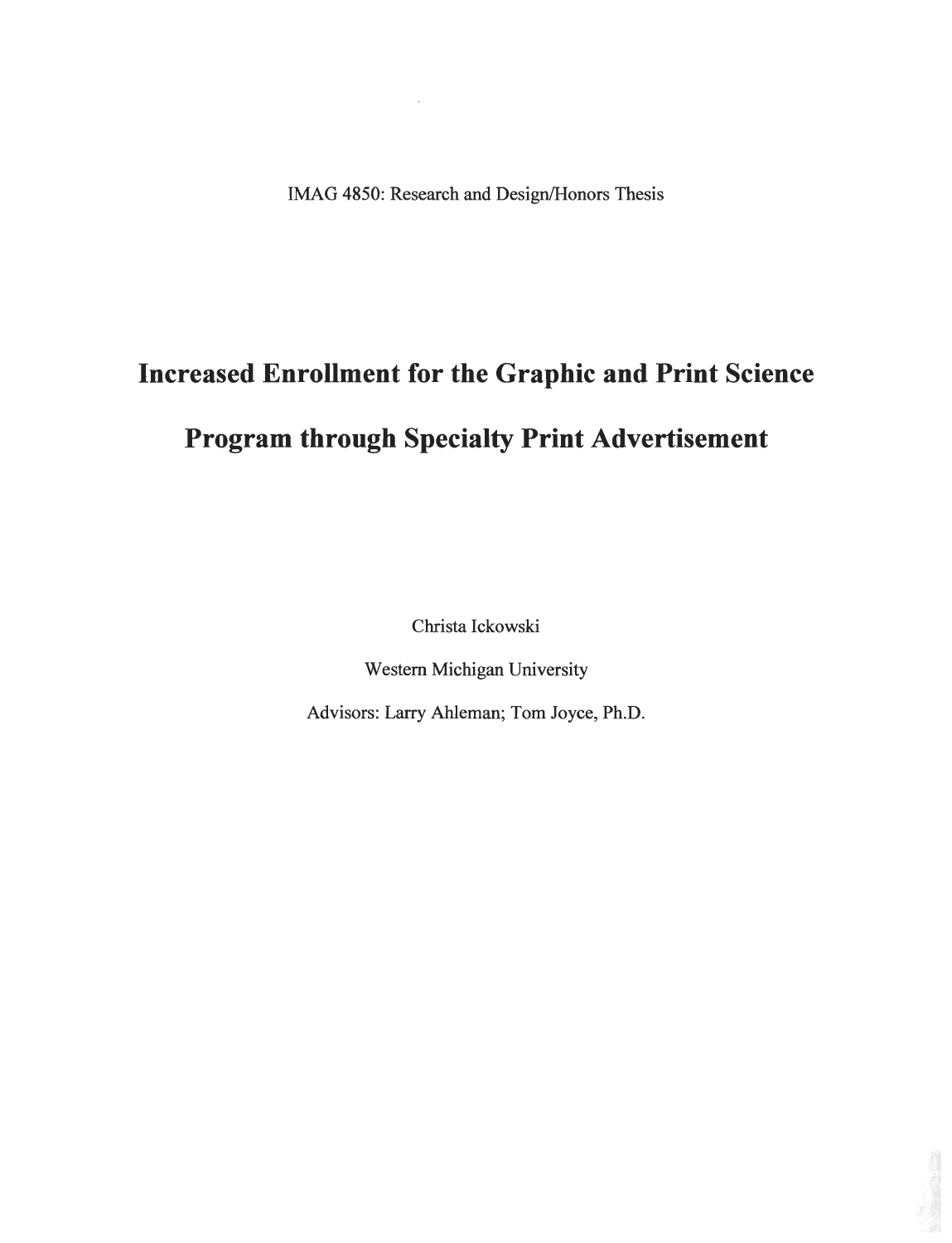IMAG 4850: Research and Design/Honors Thesis

# *Increased Enrollment for the Graphic and Print Science*

# *Program through Specialty Print Advertisement*

Christa Ickowski

Western Michigan University

Advisors: Larry Ahleman; Tom Joyce, Ph.D.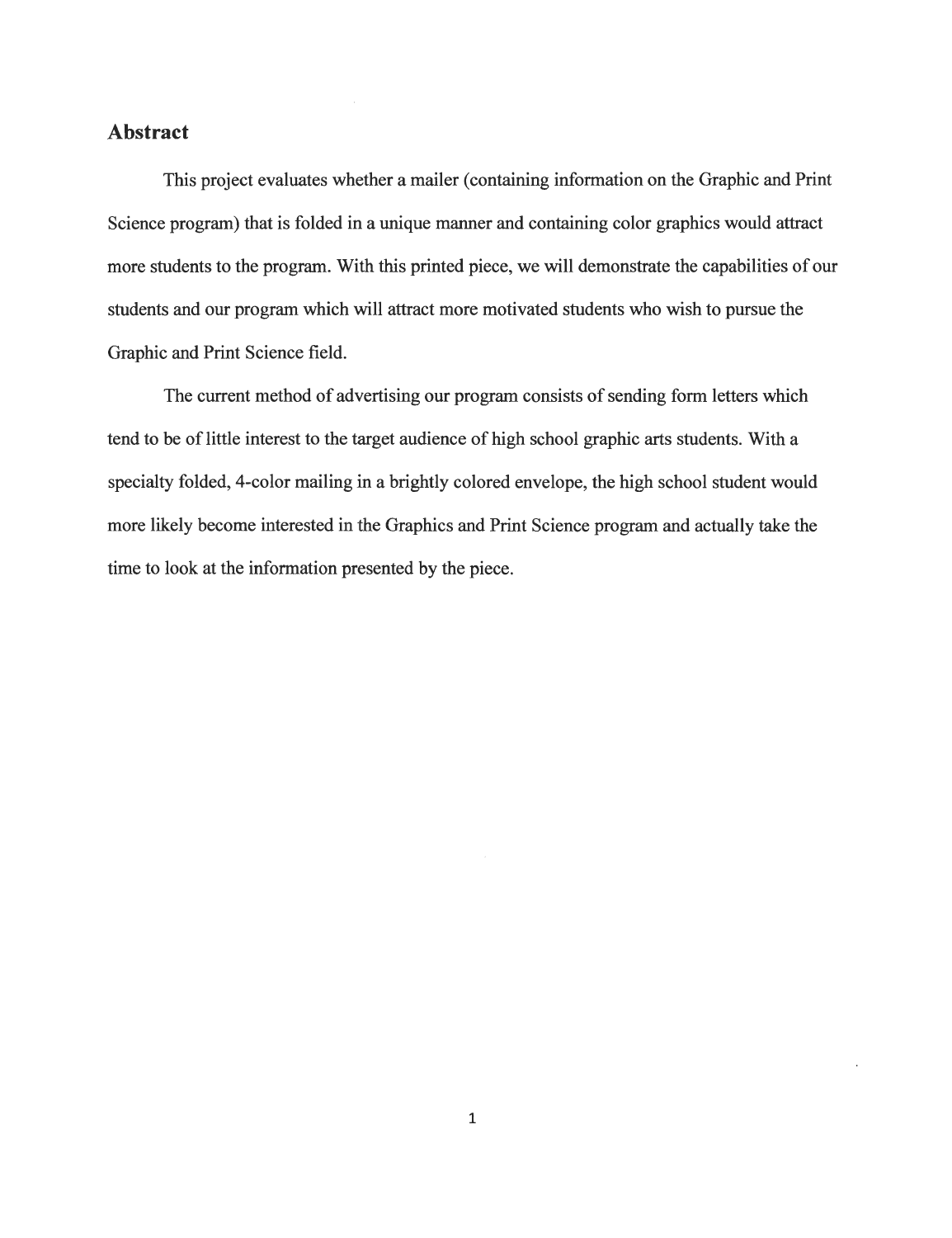#### *Abstract*

This project evaluates whether a mailer (containing information on the Graphic and Print Science program) that is folded in a unique manner and containing color graphics would attract more students to the program. With this printed piece, we will demonstrate the capabilities of our students and our program which will attract more motivated students who wish to pursue the Graphic and Print Science field.

The current method of advertising our program consists of sending form letters which tend to be of little interest to the target audience of high school graphic arts students. With a specialty folded, 4-color mailing in a brightly colored envelope, the high school student would more likely become interested in the Graphics and Print Science program and actually take the time to look at the information presented by the piece.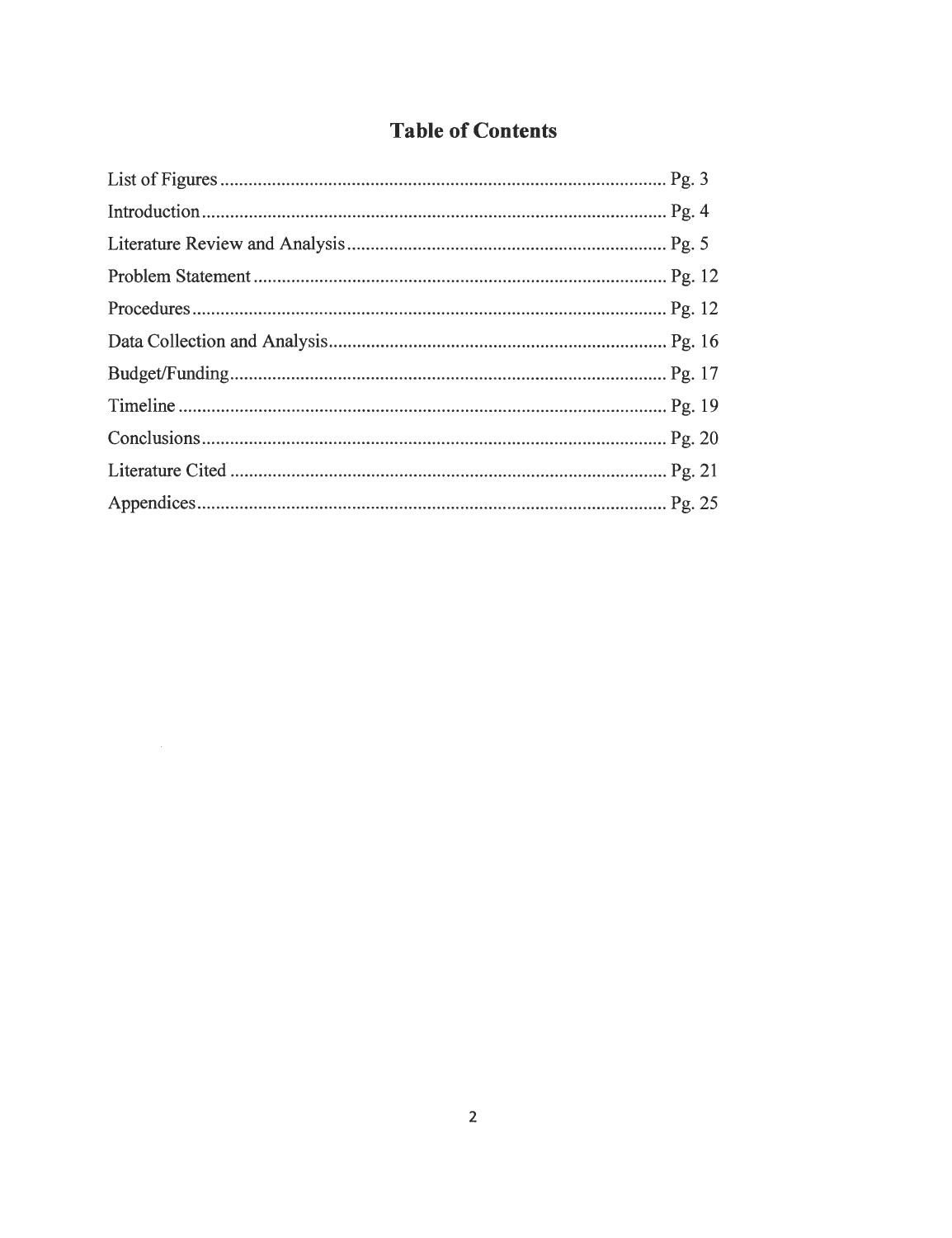## **Table** of Contents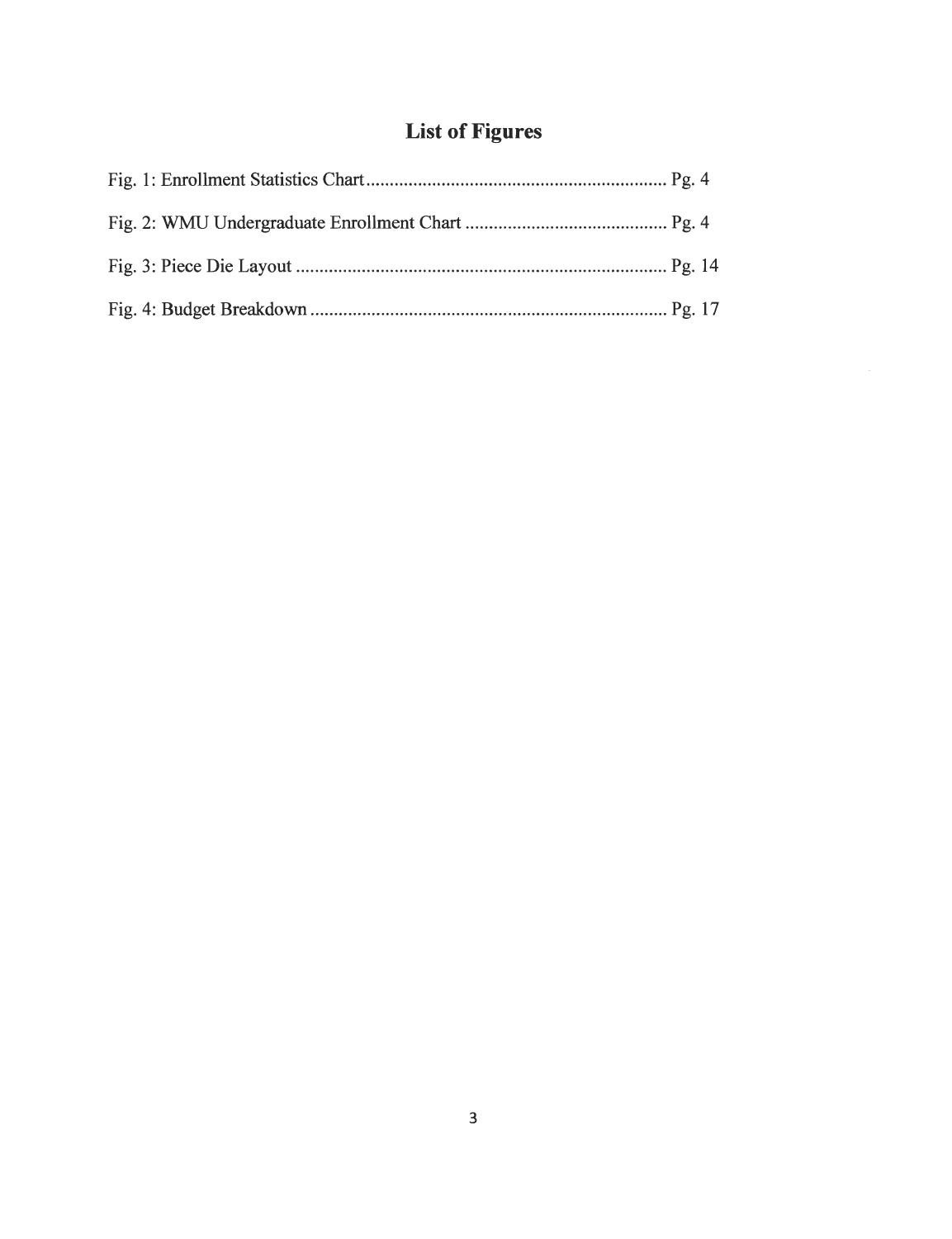## *List of Figures*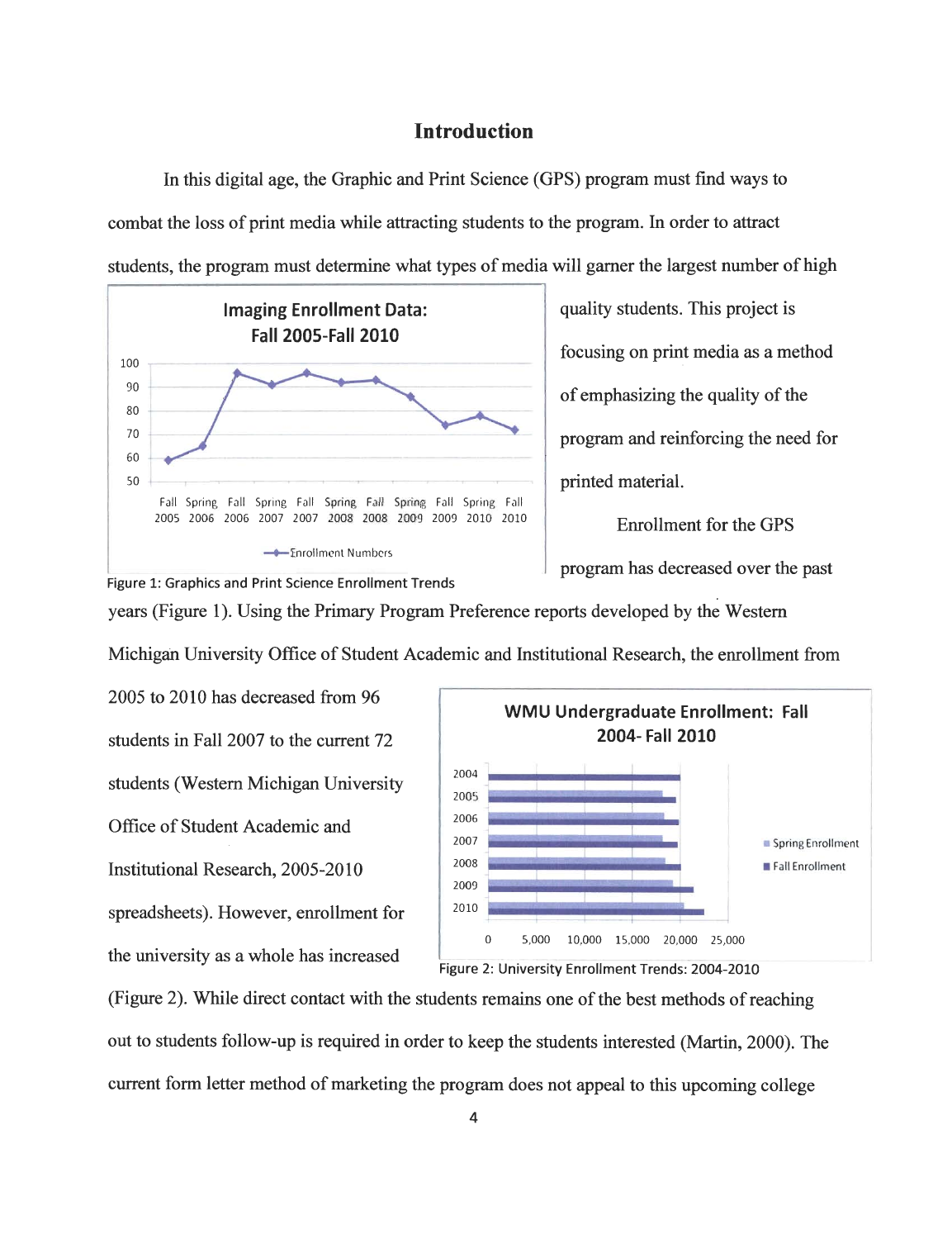#### *Introduction*

In this digital age, the Graphic and Print Science (GPS) program must find ways to combat the loss of print media while attracting students to the program. In order to attract students, the program must determine what types of media will garner the largest number of high



Figure 1: Graphics and Print Science Enrollment Trends

quality students. This project is focusing on print media as a method of emphasizing the quality of the program and reinforcing the need for printed material.

Enrollment for the GPS

years (Figure 1). Using the Primary Program Preference reports developed by the Western Michigan University Office of Student Academic and Institutional Research, the enrollment from

2005 to 2010 has decreased from 96 students in Fall 2007 to the current 72 students (Western Michigan University Office of Student Academic and Institutional Research, 2005-2010 spreadsheets). However, enrollment for the university as a whole has increased





(Figure 2). While direct contact with the students remains one of the best methods of reaching out to students follow-up is required in order to keep the students interested (Martin, 2000). The current form letter method of marketing the program does not appeal to this upcoming college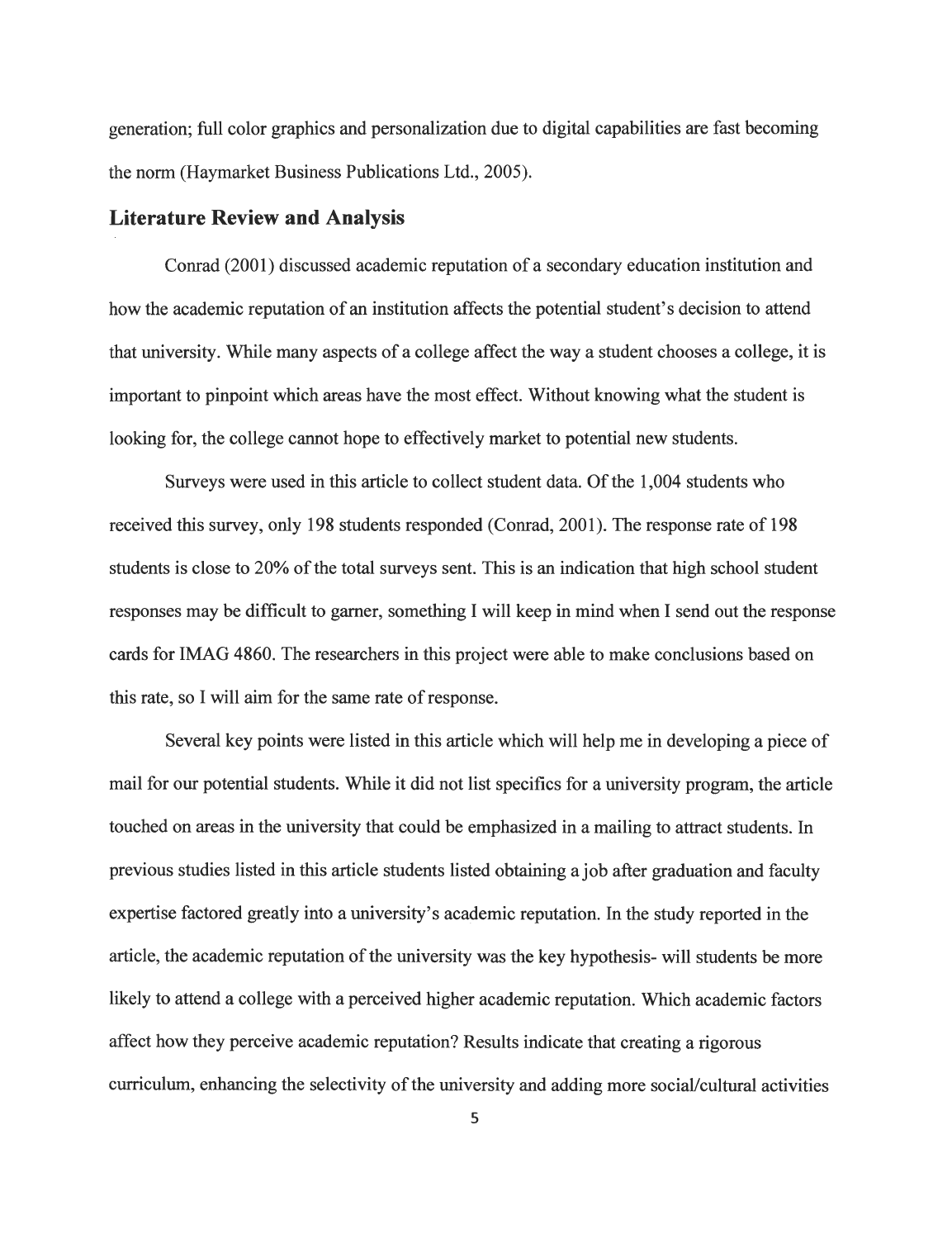generation; full color graphics and personalization due to digital capabilities are fast becoming the norm (Haymarket Business Publications Ltd., 2005).

#### *Literature Review and Analysis*

Conrad (2001) discussed academic reputation of a secondary education institution and how the academic reputation of an institution affects the potential student's decision to attend that university. While many aspects of a college affect the way a student chooses a college, it is important to pinpoint which areas have the most effect. Without knowing what the student is looking for, the college cannot hope to effectively market to potential new students.

Surveys were used in this article to collect student data. Of the 1,004 students who received this survey, only 198 students responded (Conrad, 2001). The response rate of 198 students is close to 20% of the total surveys sent. This is an indication that high school student responses may be difficult to garner, something I will keep in mind when I send out the response cards for IMAG 4860. The researchers in this project were able to make conclusions based on this rate, so I will aim for the same rate of response.

Several key points were listed in this article which will help me in developing a piece of mail for our potential students. While it did not list specifics for a university program, the article touched on areas in the university that could be emphasized in a mailing to attract students. In previous studies listed in this article students listed obtaining a job after graduation and faculty expertise factored greatly into a university's academic reputation. In the study reported in the article, the academic reputation of the university was the key hypothesis- will students be more likely to attend a college with a perceived higher academic reputation. Which academic factors affect how they perceive academic reputation? Results indicate that creating a rigorous curriculum, enhancing the selectivity of the university and adding more social/cultural activities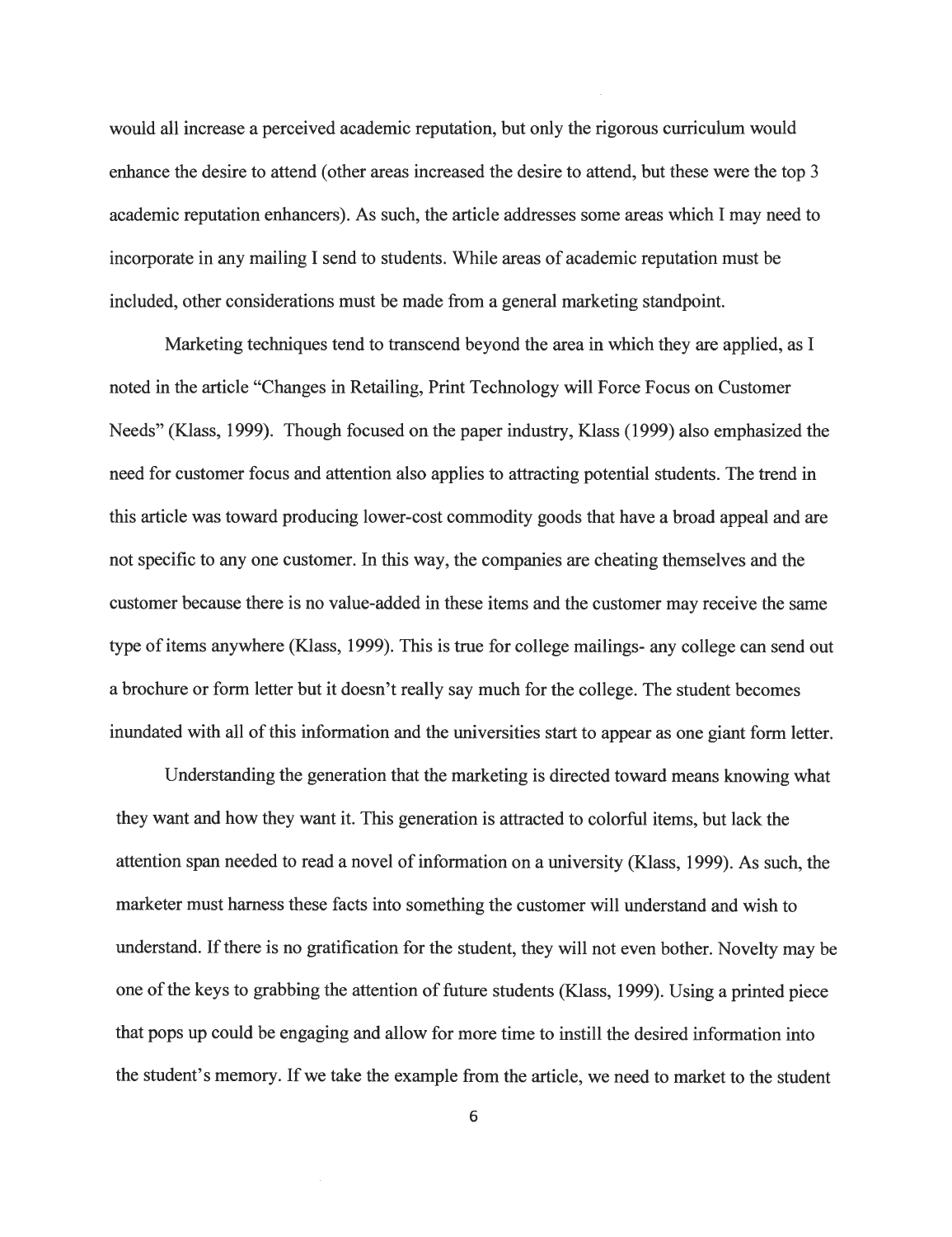would all increase a perceived academic reputation, but only the rigorous curriculum would enhance the desire to attend (other areas increased the desire to attend, but these were the top 3 academic reputation enhancers). As such, the article addresses some areas which I may need to incorporate in any mailing I send to students. While areas of academic reputation must be included, other considerations must be made from a general marketing standpoint.

Marketing techniques tend to transcend beyond the area in which they are applied, as I noted in the article "Changes in Retailing, Print Technology will Force Focus on Customer Needs" (Klass, 1999). Though focused on the paper industry, Klass (1999) also emphasized the need for customer focus and attention also applies to attracting potential students. The trend in this article was toward producing lower-cost commodity goods that have a broad appeal and are not specific to any one customer. In this way, the companies are cheating themselves and the customer because there is no value-added in these items and the customer may receive the same type of items anywhere (Klass, 1999). This is true for college mailings- any college can send out a brochure or form letter but it doesn't really say much for the college. The student becomes inundated with all of this information and the universities start to appear as one giant form letter.

Understanding the generation that the marketing is directed toward means knowing what they want and how they want it. This generation is attracted to colorful items, but lack the attention span needed to read a novel of information on a university (Klass, 1999). As such, the marketer must harness these facts into something the customer will understand and wish to understand. If there is no gratification for the student, they will not even bother. Novelty may be one of the keys to grabbing the attention of future students (Klass, 1999). Using a printed piece that pops up could be engaging and allow for more time to instill the desired information into the student's memory. If we take the example from the article, we need to market to the student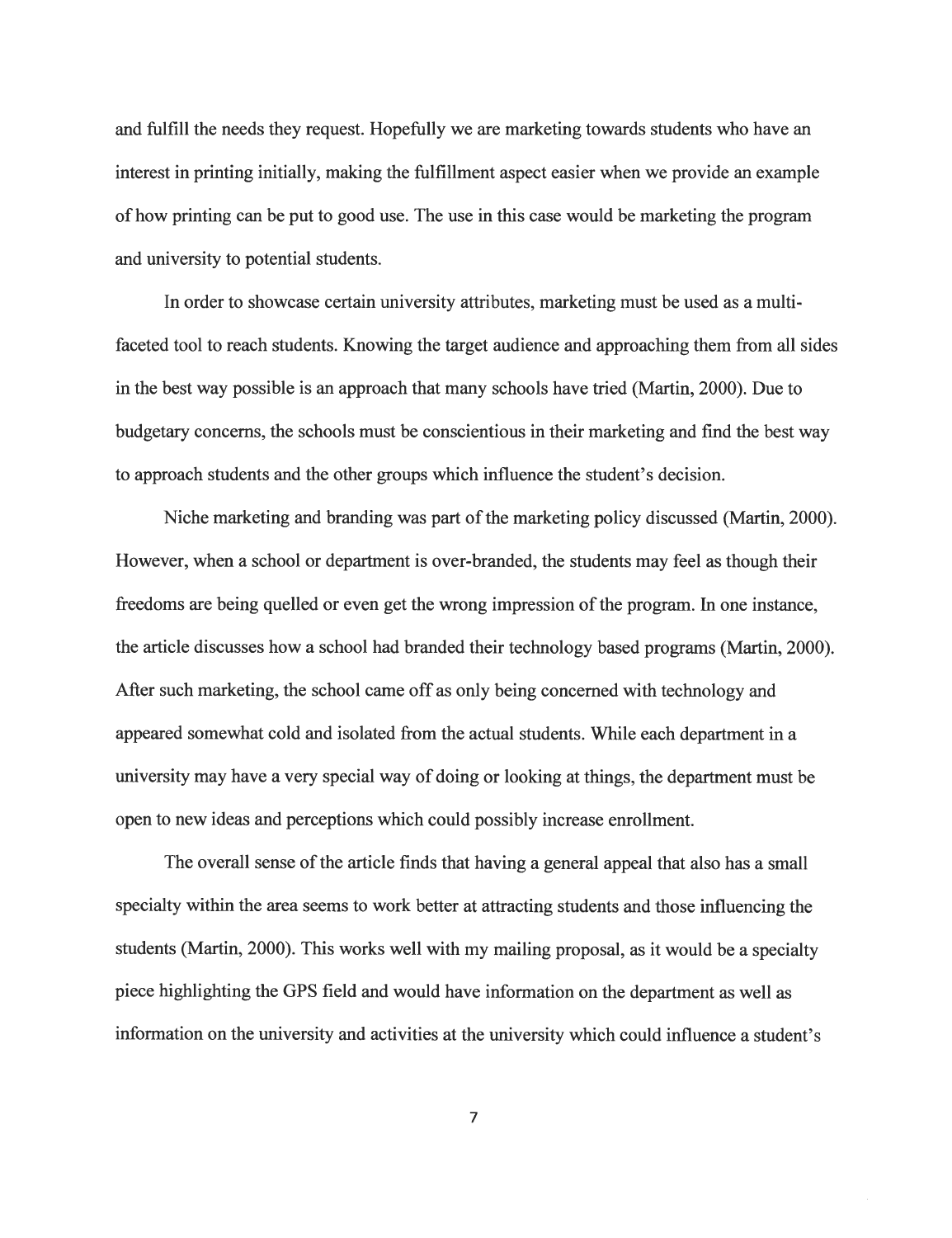and fulfill the needs they request. Hopefully we are marketing towards students who have an interest in printing initially, making the fulfillment aspect easier when we provide an example of how printing can be put to good use. The use in this case would be marketing the program and university to potential students.

In order to showcase certain university attributes, marketing must be used as a multifaceted tool to reach students. Knowing the target audience and approaching them from all sides in the best way possible is an approach that many schools have tried (Martin, 2000). Due to budgetary concerns, the schools must be conscientious in their marketing and find the best way to approach students and the other groups which influence the student's decision.

Niche marketing and branding was part of the marketing policy discussed (Martin, 2000). However, when a school or department is over-branded, the students may feel as though their freedoms are being quelled or even get the wrong impression of the program. In one instance, the article discusses how a school had branded their technology based programs (Martin, 2000). After such marketing, the school came off as only being concerned with technology and appeared somewhat cold and isolated from the actual students. While each department in a university may have a very special way of doing or looking at things, the department must be open to new ideas and perceptions which could possibly increase enrollment.

The overall sense of the article finds that having a general appeal that also has a small specialty within the area seems to work better at attracting students and those influencing the students (Martin, 2000). This works well with my mailing proposal, as it would be a specialty piece highlighting the GPS field and would have information on the department as well as information on the university and activities at the university which could influence a student's

 $\overline{7}$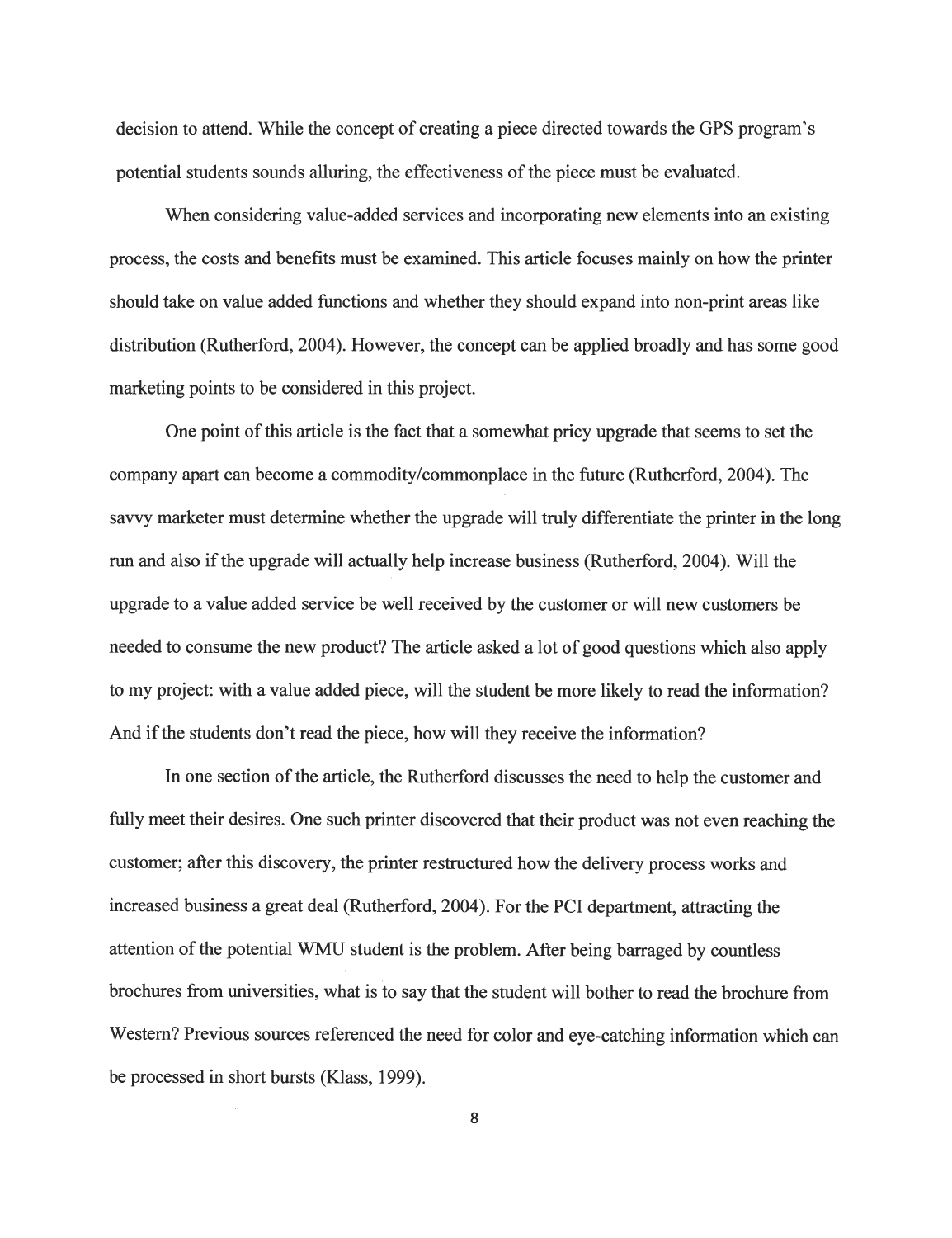decision to attend. While the concept of creating a piece directed towards the GPS program's potential students sounds alluring, the effectiveness ofthe piece must be evaluated.

When considering value-added services and incorporating new elements into an existing process, the costs and benefits must be examined. This article focuses mainly on how the printer should take on value added functions and whether they should expand into non-print areas like distribution (Rutherford, 2004). However, the concept can be applied broadly and has some good marketing points to be considered in this project.

One point of this article is the fact that a somewhat pricy upgrade that seems to set the company apart can become a commodity/commonplace in the future (Rutherford, 2004). The savvy marketer must determine whether the upgrade will truly differentiate the printer in the long run and also ifthe upgrade will actually help increase business (Rutherford, 2004). Will the upgrade to a value added service be well received by the customer or will new customers be needed to consume the new product? The article asked a lot of good questions which also apply to my project: with a value added piece, will the student be more likely to read the information? And if the students don't read the piece, how will they receive the information?

In one section of the article, the Rutherford discusses the need to help the customer and fully meet their desires. One such printer discovered that their product was not even reaching the customer; after this discovery, the printer restructured how the delivery process works and increased business a great deal (Rutherford, 2004). For the PCI department, attracting the attention of the potential WMU student is the problem. After being barraged by countless brochures from universities, what is to say that the student will bother to read the brochure from Western? Previous sources referenced the need for color and eye-catching information which can be processed in short bursts (Klass, 1999).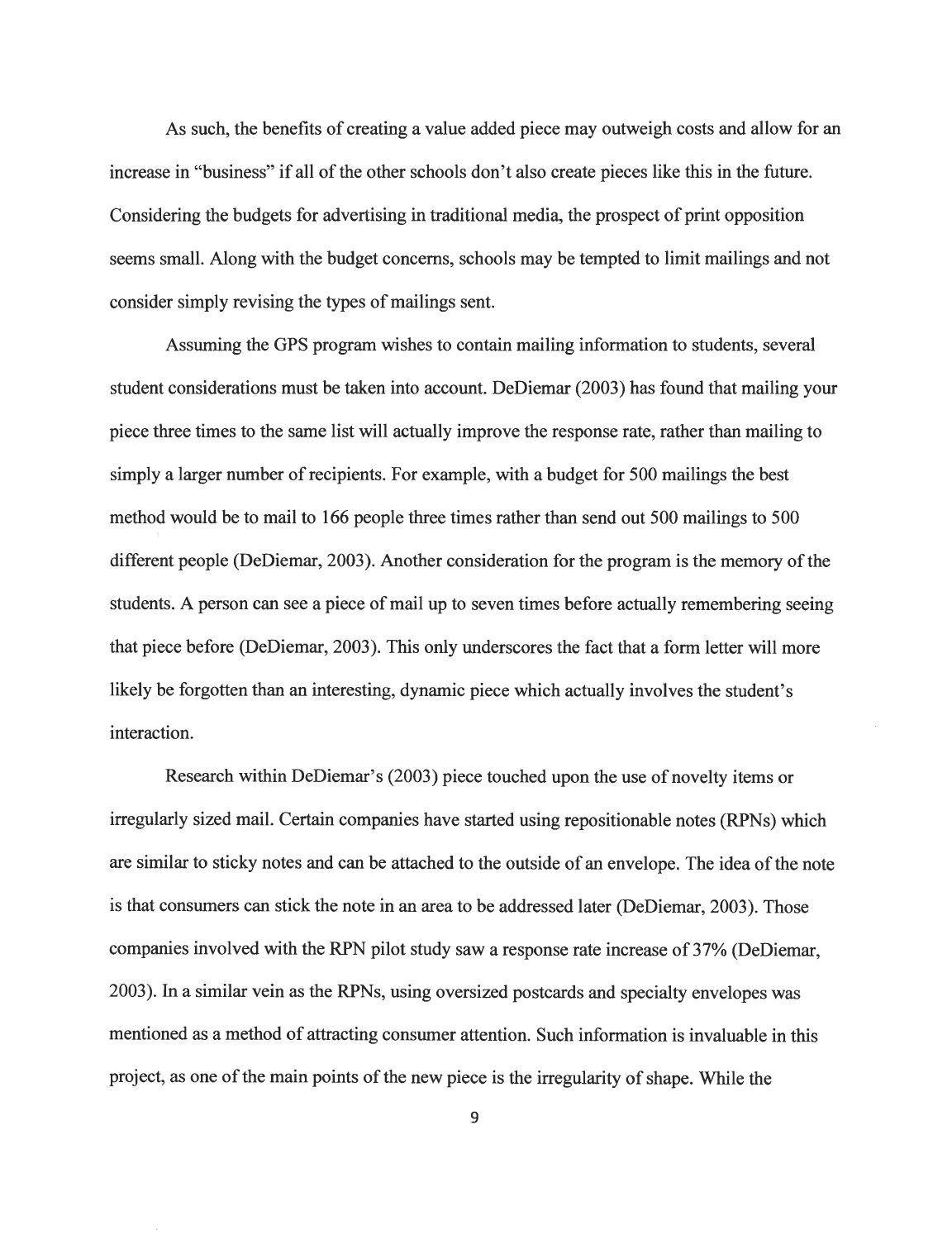As such, the benefits of creating a value added piece may outweigh costs and allow for an increase in "business" if all of the other schools don't also create pieces like this in the future. Considering the budgets for advertising in traditional media, the prospect of print opposition seems small. Along with the budget concerns, schools may be tempted to limit mailings and not consider simply revising the types of mailings sent.

Assuming the GPS program wishes to contain mailing information to students, several student considerations must be taken into account. DeDiemar (2003) has found that mailing your piece three times to the same list will actually improve the response rate, rather than mailing to simply a larger number of recipients. For example, with a budget for 500 mailings the best method would be to mail to 166 people three times rather than send out 500 mailings to 500 different people (DeDiemar, 2003). Another consideration for the program is the memory of the students. A person can see a piece of mail up to seven times before actually remembering seeing that piece before (DeDiemar, 2003). This only underscores the fact that a form letter will more likely be forgotten than an interesting, dynamic piece which actually involves the student's interaction.

Research within DeDiemar's (2003) piece touched upon the use of novelty items or irregularly sized mail. Certain companies have started using repositionable notes (RPNs) which are similar to sticky notes and can be attached to the outside of an envelope. The idea of the note is that consumers can stick the note in an area to be addressed later (DeDiemar, 2003). Those companies involved with the RPN pilot study saw a response rate increase of 37% (DeDiemar, 2003). In a similar vein as the RPNs, using oversized postcards and specialty envelopes was mentioned as a method of attracting consumer attention. Such information is invaluable in this project, as one of the main points of the new piece is the irregularity of shape. While the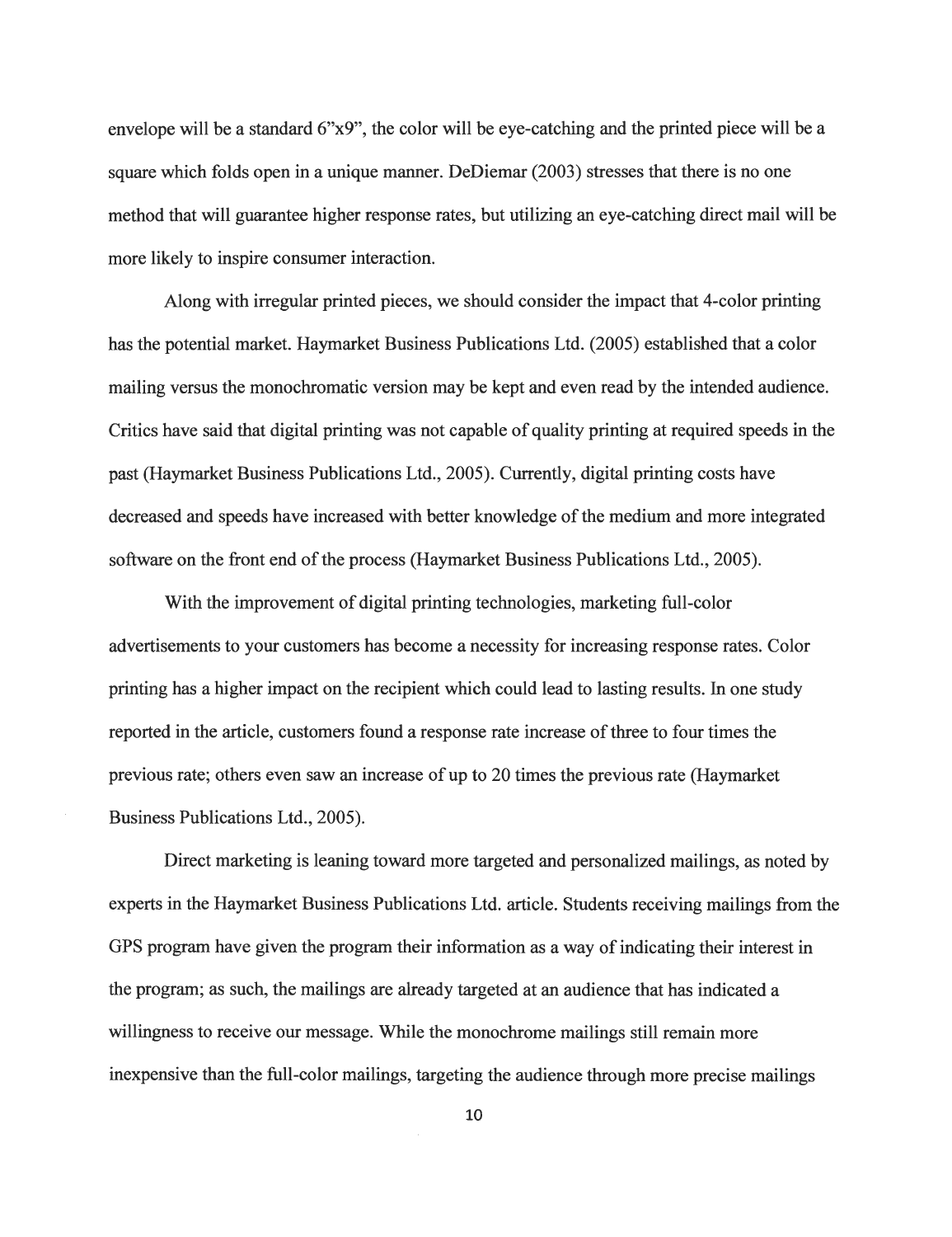envelope will be a standard 6"x9", the color will be eye-catching and the printed piece will be a square which folds open in a unique manner. DeDiemar (2003) stresses that there is no one method that will guarantee higher response rates, but utilizing an eye-catching direct mail will be more likely to inspire consumer interaction.

Along with irregular printed pieces, we should consider the impact that 4-color printing has the potential market. Haymarket Business Publications Ltd. (2005) established that a color mailing versus the monochromatic version may be kept and even read by the intended audience. Critics have said that digital printing was not capable of quality printing at required speeds in the past (Haymarket Business Publications Ltd., 2005). Currently, digital printing costs have decreased and speeds have increased with better knowledge of the medium and more integrated software on the front end of the process (Haymarket Business Publications Ltd., 2005).

With the improvement of digital printing technologies, marketing full-color advertisements to your customers has become a necessity for increasing response rates. Color printing has a higher impact on the recipient which could lead to lasting results. In one study reported in the article, customers found a response rate increase of three to four times the previous rate; others even saw an increase ofup to 20 times the previous rate (Haymarket Business Publications Ltd., 2005).

Direct marketing is leaning toward more targeted and personalized mailings, as noted by experts in the Haymarket Business Publications Ltd. article. Students receiving mailings from the GPS program have given the program their information as a way of indicating their interest in the program; as such, the mailings are already targeted at an audience that has indicated a willingness to receive our message. While the monochrome mailings still remain more inexpensive than the full-color mailings, targeting the audience through more precise mailings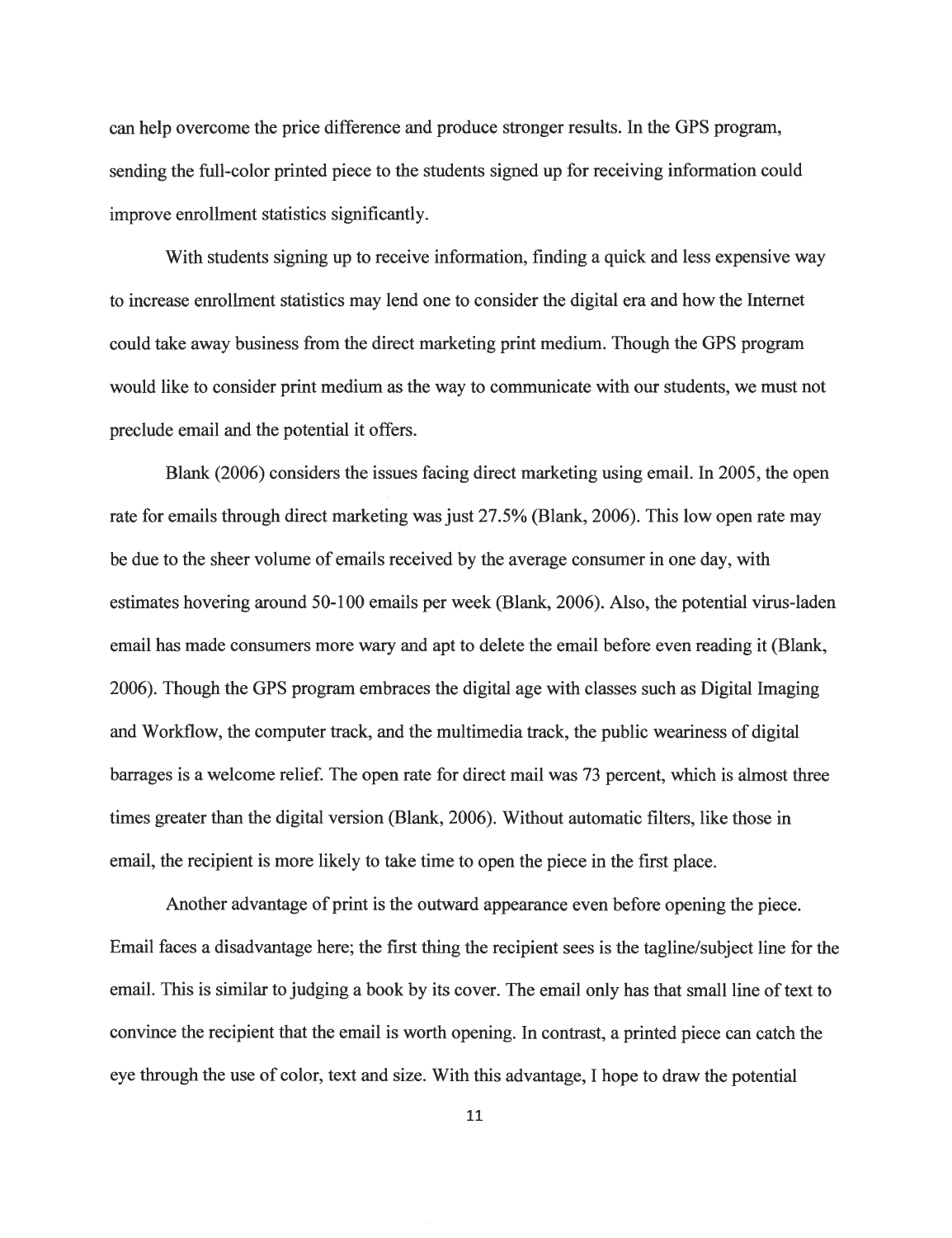can help overcome the price difference and produce stronger results. In the GPS program, sending the full-color printed piece to the students signed up for receiving information could improve enrollment statistics significantly.

With students signing up to receive information, finding a quick and less expensive way to increase enrollment statistics may lend one to consider the digital era and how the Internet could take away business from the direct marketing print medium. Though the GPS program would like to consider print medium as the way to communicate with our students, we must not preclude email and the potential it offers.

Blank (2006) considers the issues facing direct marketing using email. In 2005, the open rate for emails through direct marketing was just 27.5% (Blank, 2006). This low open rate may be due to the sheer volume of emails received by the average consumer in one day, with estimates hovering around 50-100 emails per week (Blank, 2006). Also, the potential virus-laden email has made consumers more wary and apt to delete the email before even reading it (Blank, 2006). Though the GPS program embraces the digital age with classes such as Digital Imaging and Workflow, the computer track, and the multimedia track, the public weariness of digital barrages is a welcome relief. The open rate for direct mail was 73 percent, which is almost three times greater than the digital version (Blank, 2006). Without automatic filters, like those in email, the recipient is more likely to take time to open the piece in the first place.

Another advantage of print is the outward appearance even before opening the piece. Email faces a disadvantage here; the first thing the recipient sees is the tagline/subject line for the email. This is similar to judging a book by its cover. The email only has that small line of text to convince the recipient that the email is worth opening. In contrast, a printed piece can catch the eye through the use of color, text and size. With this advantage, I hope to draw the potential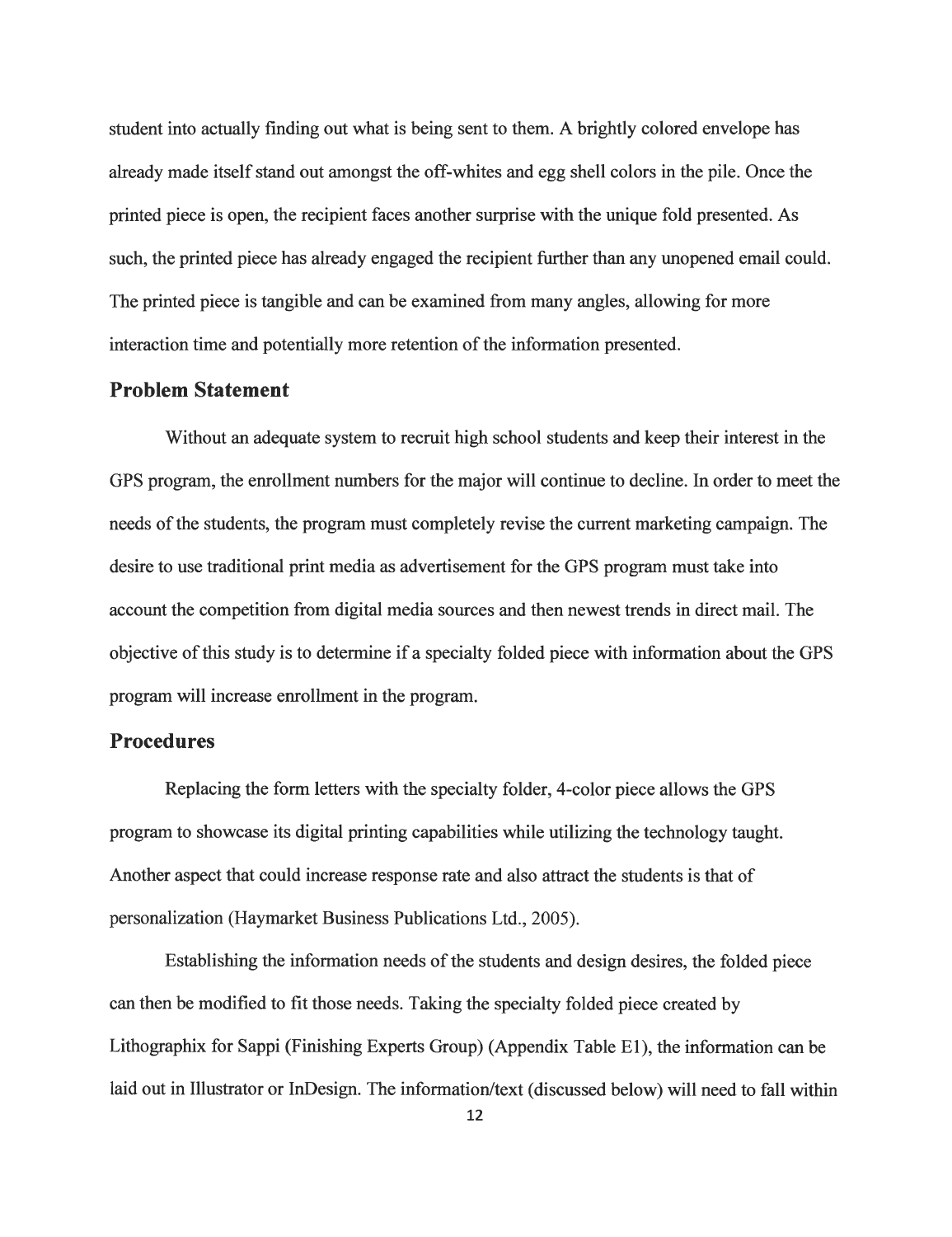student into actually finding out what is being sent to them. A brightly colored envelope has already made itself stand out amongst the off-whites and egg shell colors in the pile. Once the printed piece is open, the recipient faces another surprise with the unique fold presented. As such, the printed piece has already engaged the recipient further than any unopened email could. The printed piece is tangible and can be examined from many angles, allowing for more interaction time and potentially more retention of the information presented.

#### *Problem Statement*

Without an adequate system to recruit high school students and keep their interest in the GPS program, the enrollment numbers for the major will continue to decline. In order to meet the needs of the students, the program must completely revise the current marketing campaign. The desire to use traditional print media as advertisement for the GPS program must take into account the competition from digital media sources and then newest trends in direct mail. The objective ofthis study is to determine if a specialty folded piece with information about the GPS program will increase enrollment in the program.

#### *Procedures*

Replacing the form letters with the specialty folder, 4-color piece allows the GPS program to showcase its digital printing capabilities while utilizing the technology taught. Another aspect that could increase response rate and also attract the students is that of personalization (Haymarket Business Publications Ltd., 2005).

Establishing the information needs of the students and design desires, the folded piece can then be modified to fit those needs. Taking the specialty folded piece created by Lithographix for Sappi (Finishing Experts Group) (Appendix Table El), the information can be laid out in Illustrator or InDesign. The information/text (discussed below) will need to fall within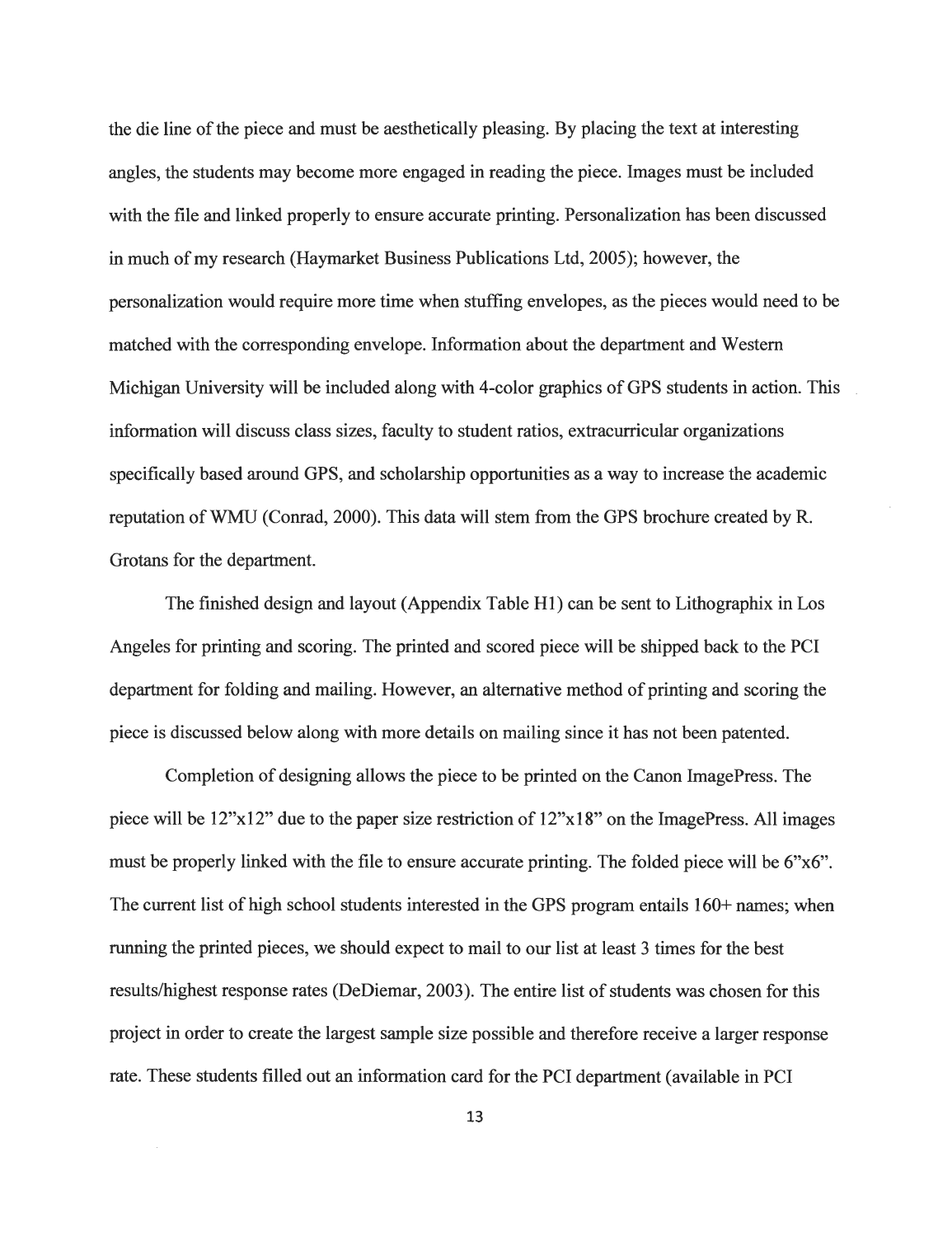the die line of the piece and must be aesthetically pleasing. By placing the text at interesting angles, the students may become more engaged in reading the piece. Images must be included with the file and linked properly to ensure accurate printing. Personalization has been discussed in much of my research (Haymarket Business Publications Ltd, 2005); however, the personalization would require more time when stuffing envelopes, as the pieces would need to be matched with the corresponding envelope. Information about the department and Western Michigan University will be included along with 4-color graphics of GPS students in action. This information will discuss class sizes, faculty to student ratios, extracurricular organizations specifically based around GPS, and scholarship opportunities as a way to increase the academic reputation ofWMU (Conrad, 2000). This data will stem from the GPS brochure created by R. Grotans for the department.

The finished design and layout (Appendix Table HI) can be sent to Lithographix in Los Angeles for printing and scoring. The printed and scored piece will be shipped back to the PCI department for folding and mailing. However, an alternative method of printing and scoring the piece is discussed below along with more details on mailing since it has not been patented.

Completion of designing allows the piece to be printed on the Canon ImagePress. The piece will be 12"xl2" due to the paper size restriction of 12"xl8" on the ImagePress. All images must be properly linked with the file to ensure accurate printing. The folded piece will be 6"x6". The current list of high school students interested in the GPS program entails  $160+$  names; when running the printed pieces, we should expect to mail to our list at least 3 times for the best results/highest response rates (DeDiemar, 2003). The entire list of students was chosen for this project in order to create the largest sample size possible and therefore receive a larger response rate. These students filled out an information card for the PCI department (available in PCI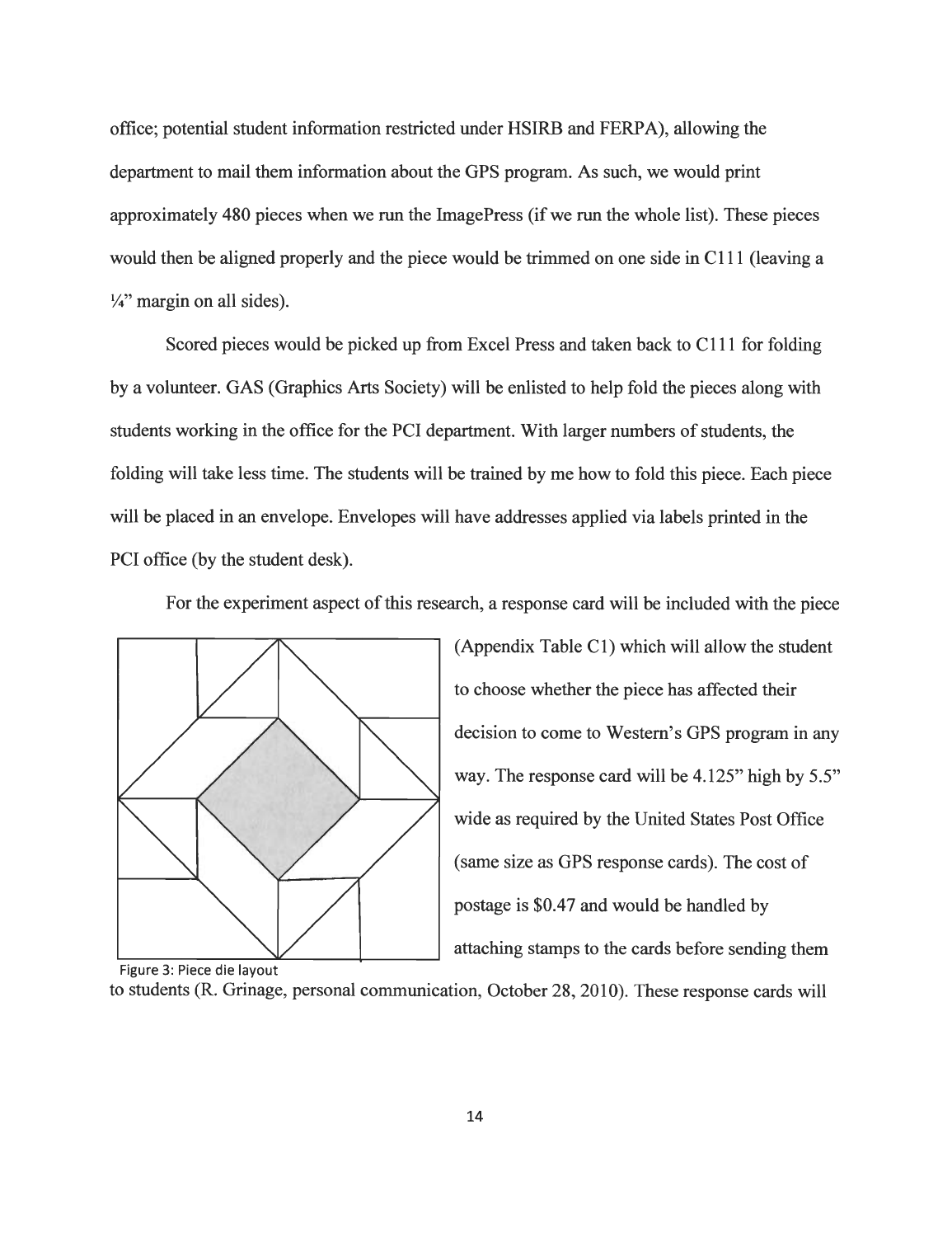office; potential student information restricted under HSIRB and FERPA), allowing the department to mail them information about the GPS program. As such, we would print approximately 480 pieces when we run the ImagePress (if we run the whole list). These pieces would then be aligned properly and the piece would be trimmed on one side in CI 11 (leaving a  $\frac{1}{4}$ " margin on all sides).

Scored pieces would be picked up from Excel Press and taken back to CI 11 for folding by a volunteer. GAS (Graphics Arts Society) will be enlisted to help fold the pieces along with students working in the office for the PCI department. With larger numbers of students, the folding will take less time. The students will be trained by me how to fold this piece. Each piece will be placed in an envelope. Envelopes will have addresses applied via labels printed in the PCI office (by the student desk).

For the experiment aspect of this research, a response card will be included with the piece



(Appendix Table CI) which will allow the student to choose whether the piece has affected their decision to come to Western's GPS program in any way. The response card will be 4.125" high by 5.5" wide as required by the United States Post Office (same size as GPS response cards). The cost of postage is \$0.47 and would be handled by attaching stamps to the cards before sending them

to students (R. Grinage, personal communication, October 28, 2010). These response cards will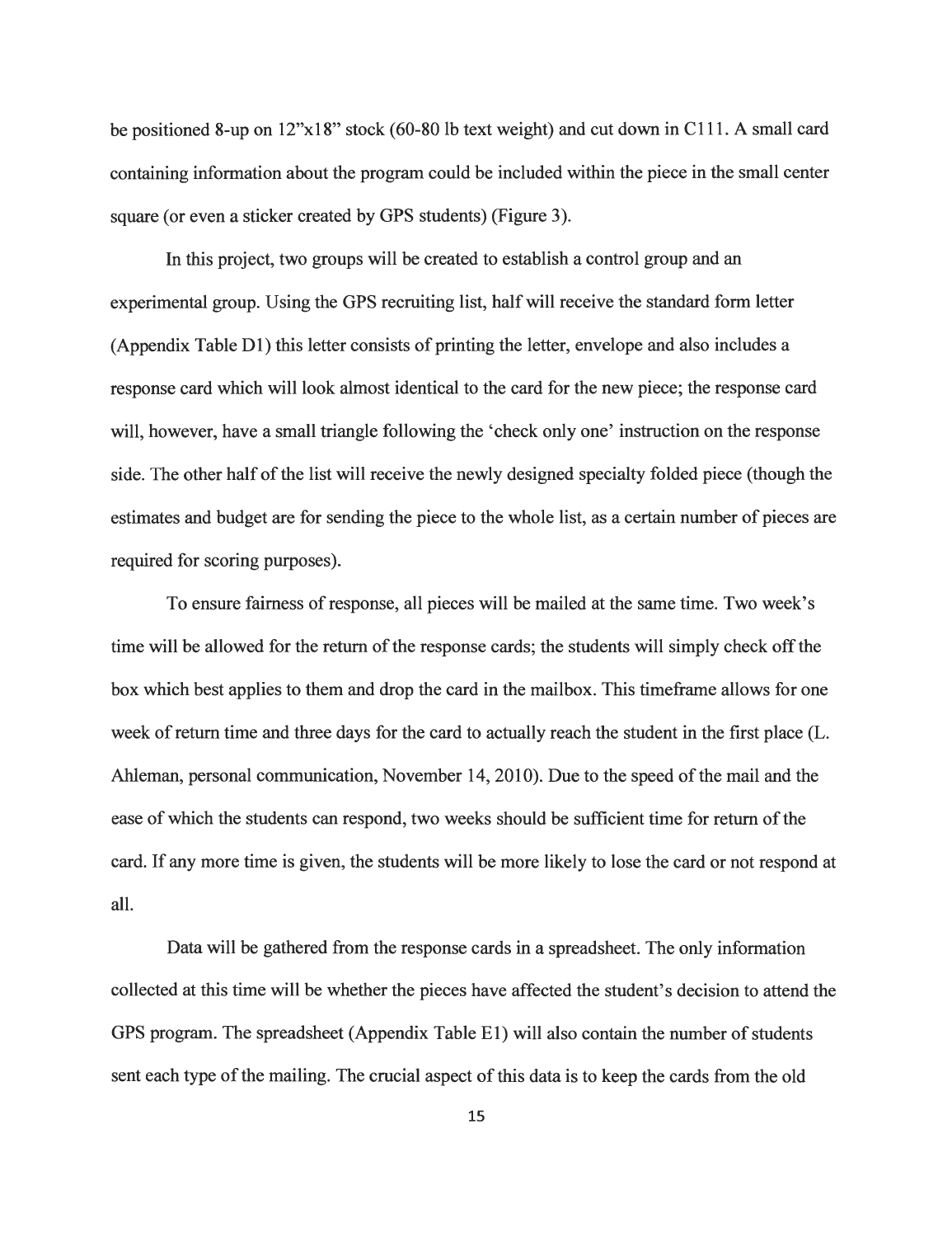be positioned 8-up on 12"xl8" stock (60-80 lb text weight) and cut down in CI 11. A small card containing information about the program could be included within the piece in the small center square (or even a sticker created by GPS students) (Figure 3).

In this project, two groups will be created to establish a control group and an experimental group. Using the GPS recruiting list, halfwill receive the standard form letter (Appendix Table  $D1$ ) this letter consists of printing the letter, envelope and also includes a response card which will look almost identical to the card for the new piece; the response card will, however, have a small triangle following the 'check only one' instruction on the response side. The other half of the list will receive the newly designed specialty folded piece (though the estimates and budget are for sending the piece to the whole list, as a certain number of pieces are required for scoring purposes).

To ensure fairness of response, all pieces will be mailed at the same time. Two week's time will be allowed for the return of the response cards; the students will simply check off the box which best applies to them and drop the card in the mailbox. This timeframe allows for one week of return time and three days for the card to actually reach the student in the first place (L. Ahleman, personal communication, November 14, 2010). Due to the speed of the mail and the ease of which the students can respond, two weeks should be sufficient time for return of the card. If any more time is given, the students will be more likely to lose the card or not respond at all.

Data will be gathered from the response cards in a spreadsheet. The only information collected at this time will be whether the pieces have affected the student's decision to attend the GPS program. The spreadsheet (Appendix Table E1) will also contain the number of students sent each type of the mailing. The crucial aspect of this data is to keep the cards from the old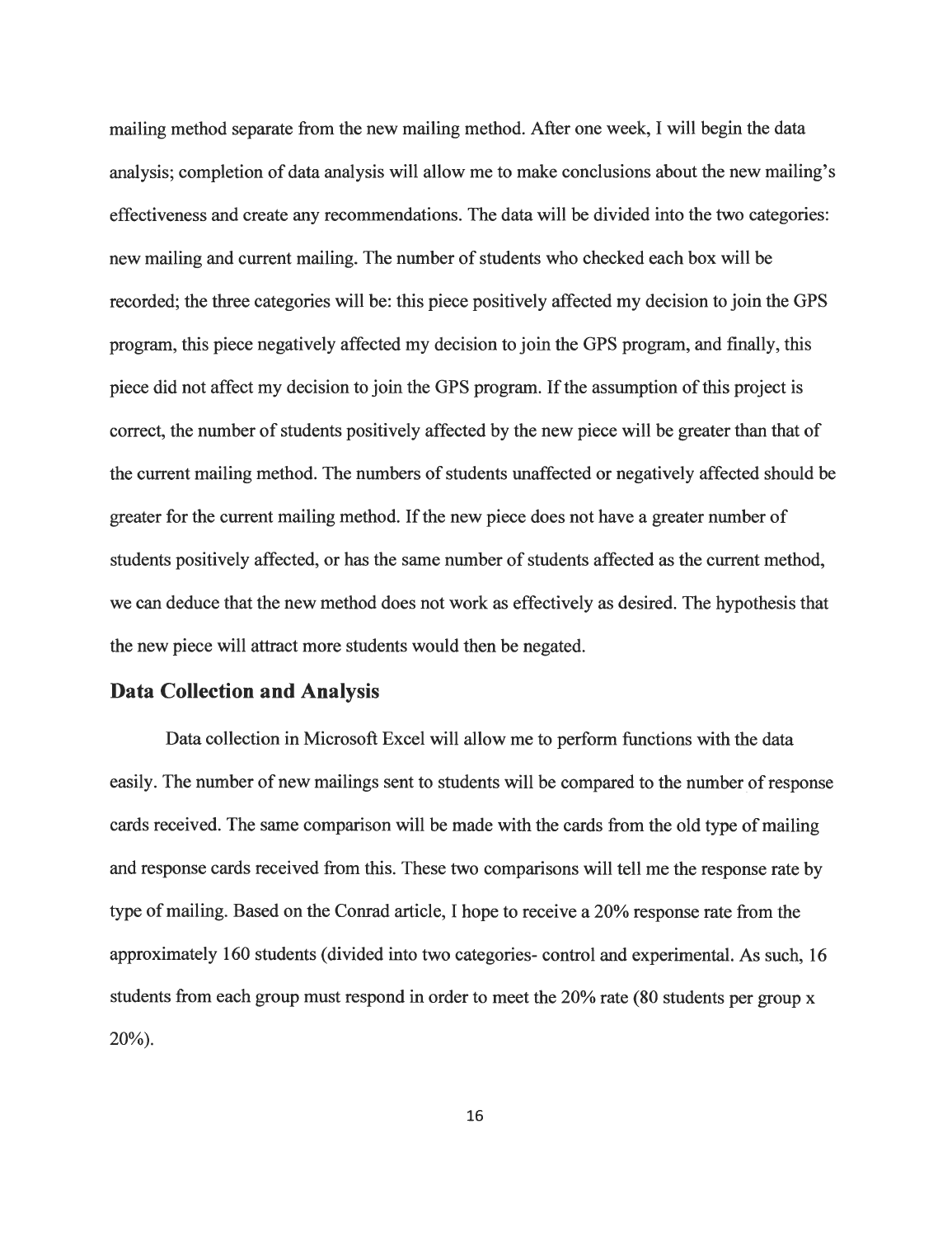mailing method separate from the new mailing method. After one week, I will begin the data analysis; completion of data analysis will allow me to make conclusions about the new mailing's effectiveness and create any recommendations. The data will be divided into the two categories: new mailing and current mailing. The number of students who checked each box will be recorded; the three categories will be: this piece positively affected my decision to join the GPS program, this piece negatively affected my decision to join the GPS program, and finally, this piece did not affect my decision to join the GPS program. If the assumption of this project is correct, the number of students positively affected by the new piece will be greater than that of the current mailing method. The numbers of students unaffected or negatively affected should be greater for the current mailing method. If the new piece does not have a greater number of students positively affected, or has the same number of students affected as the current method, we can deduce that the new method does not work as effectively as desired. The hypothesis that the new piece will attract more students would then be negated.

#### *Data Collection and Analysis*

Data collection in Microsoft Excel will allow me to perform functions with the data easily. The number of new mailings sent to students will be compared to the number of response cards received. The same comparison will be made with the cards from the old type of mailing and response cards received from this. These two comparisons will tell me the response rate by type of mailing. Based on the Conrad article, I hope to receive a 20% response rate from the approximately 160 students (divided into two categories- control and experimental. As such, 16 students from each group must respond in order to meet the 20% rate (80 students per group x  $20\%$ ).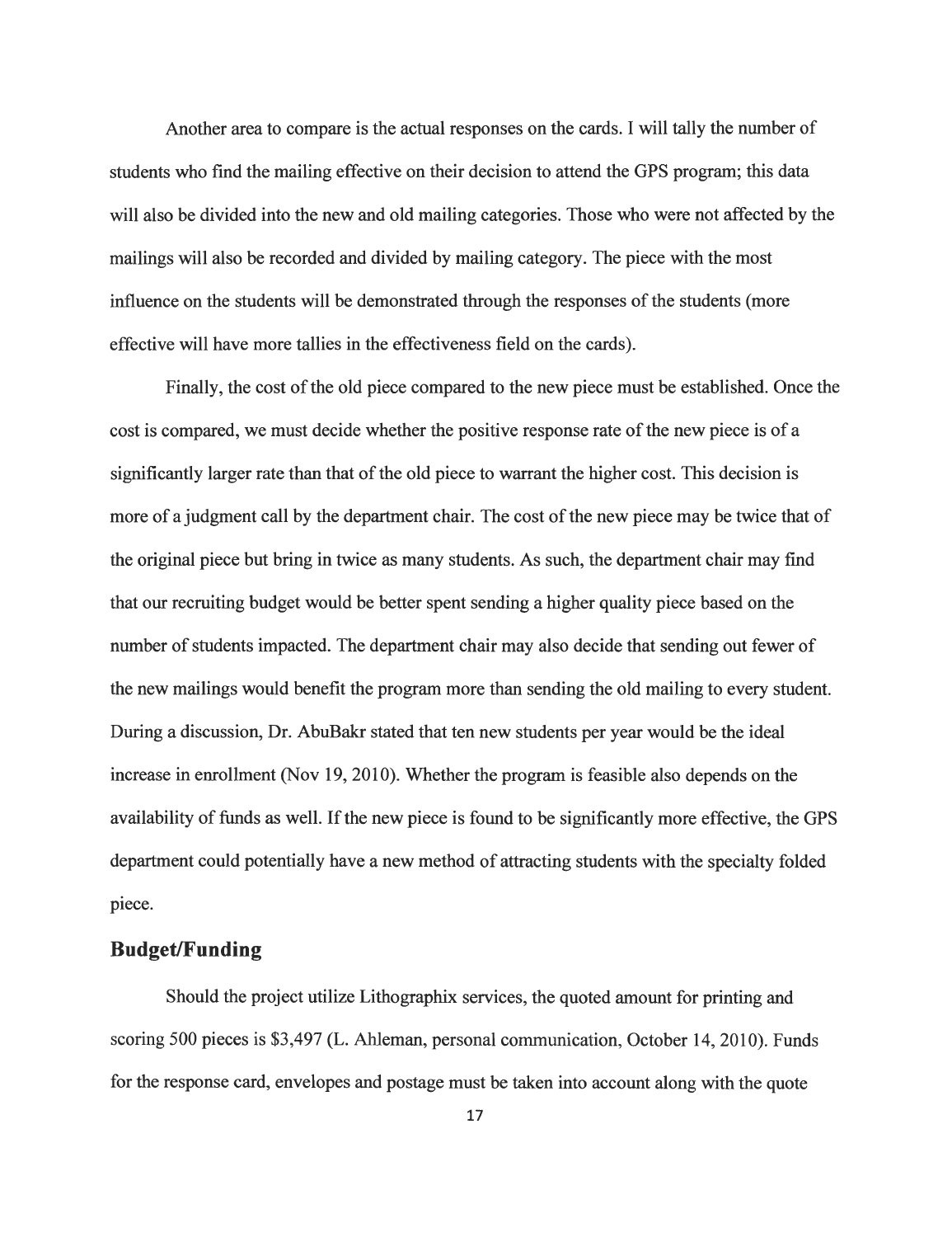Another area to compare is the actual responses on the cards. I will tally the number of students who find the mailing effective on their decision to attend the GPS program; this data will also be divided into the new and old mailing categories. Those who were not affected by the mailings will also be recorded and divided by mailing category. The piece with the most influence on the students will be demonstrated through the responses of the students (more effective will have more tallies in the effectiveness field on the cards).

Finally, the cost of the old piece compared to the new piece must be established. Once the cost is compared, we must decide whether the positive response rate of the new piece is of a significantly larger rate than that of the old piece to warrant the higher cost. This decision is more of a judgment call by the department chair. The cost of the new piece may be twice that of the original piece but bring in twice as many students. As such, the department chair may find that our recruiting budget would be better spent sending a higher quality piece based on the number of students impacted. The department chair may also decide that sending out fewer of the new mailings would benefit the program more than sending the old mailing to every student. During a discussion, Dr. AbuBakr stated that ten new students per year would be the ideal increase in enrollment (Nov 19, 2010). Whether the program is feasible also depends on the availability of funds as well. If the new piece is found to be significantly more effective, the GPS department could potentially have a new method of attracting students with the specialty folded piece.

## *Budget/Funding*

Should the project utilize Lithographix services, the quoted amount for printing and scoring 500 pieces is \$3,497 (L. Ahleman, personal communication, October 14, 2010). Funds for the response card, envelopes and postage must be taken into account along with the quote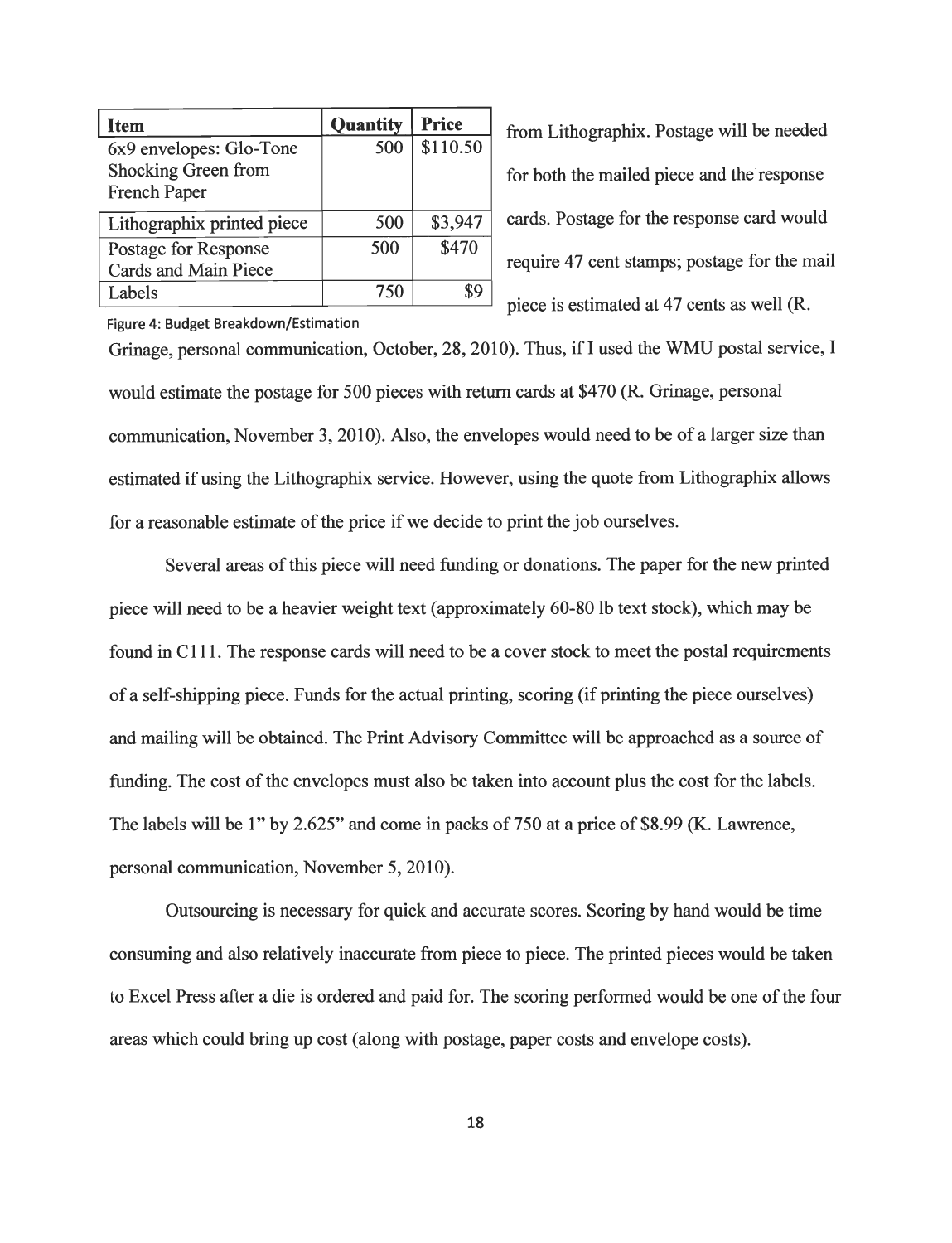| <b>Item</b>                | <b>Quantity</b> | <b>Price</b> |
|----------------------------|-----------------|--------------|
| 6x9 envelopes: Glo-Tone    | 500             | \$110.50     |
| Shocking Green from        |                 |              |
| French Paper               |                 |              |
| Lithographix printed piece | 500             | \$3,947      |
| Postage for Response       | 500             | \$470        |
| Cards and Main Piece       |                 |              |
| Labels                     | 750             |              |

from Lithographix. Postage will be needed for both the mailed piece and the response cards. Postage for the response card would require 47 cent stamps; postage for the mail piece is estimated at 47 cents as well (R.

*Figure 4: Budget Breakdown/Estimation*

Grinage, personal communication, October, 28, 2010). Thus, if I used the WMU postal service, I would estimate the postage for 500 pieces with return cards at \$470 (R. Grinage, personal communication, November 3, 2010). Also, the envelopes would need to be of a larger size than estimated if using the Lithographix service. However, using the quote from Lithographix allows for a reasonable estimate of the price if we decide to print the job ourselves.

Several areas of this piece will need funding or donations. The paper for the new printed piece will need to be a heavier weight text (approximately 60-80 lb text stock), which may be found in CI 11. The response cards will need to be a cover stock to meet the postal requirements of a self-shipping piece. Funds for the actual printing, scoring (if printing the piece ourselves) and mailing will be obtained. The Print Advisory Committee will be approached as a source of funding. The cost of the envelopes must also be taken into account plus the cost for the labels. The labels will be 1" by 2.625" and come in packs of 750 at a price of \$8.99 (K. Lawrence, personal communication, November 5, 2010).

Outsourcing is necessary for quick and accurate scores. Scoring by hand would be time consuming and also relatively inaccurate from piece to piece. The printed pieces would be taken to Excel Press after a die is ordered and paid for. The scoring performed would be one ofthe four areas which could bring up cost (along with postage, paper costs and envelope costs).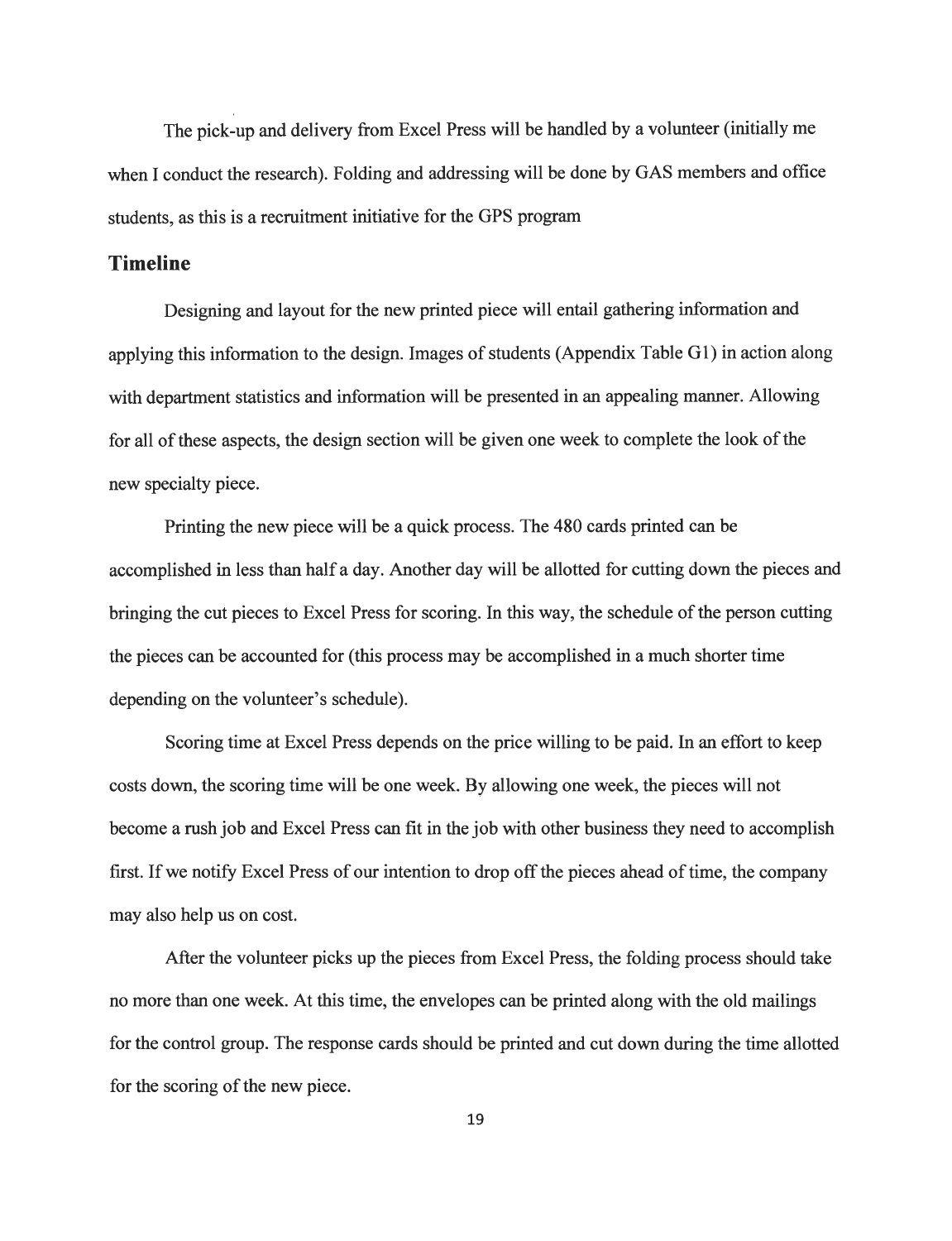The pick-up and delivery from Excel Press will be handled by a volunteer (initially me when I conduct the research). Folding and addressing will be done by GAS members and office students, as this is a recruitment initiative for the GPS program

#### *Timeline*

Designing and layout for the new printed piece will entail gathering information and applying this information to the design. Images of students (Appendix Table G1) in action along with department statistics and information will be presented in an appealing manner. Allowing for all of these aspects, the design section will be given one week to complete the look of the new specialty piece.

Printing the new piece will be a quick process. The 480 cards printed can be accomplished in less than half a day. Another day will be allotted for cutting down the pieces and bringing the cut pieces to Excel Press for scoring. In this way, the schedule of the person cutting the pieces can be accounted for (this process may be accomplished in a much shorter time depending on the volunteer's schedule).

Scoring time at Excel Press depends on the price willing to be paid. In an effort to keep costs down, the scoring time will be one week. By allowing one week, the pieces will not become a rush job and Excel Press can fit in the job with other business they need to accomplish first. If we notify Excel Press of our intention to drop off the pieces ahead of time, the company may also help us on cost.

After the volunteer picks up the pieces from Excel Press, the folding process should take no more than one week. At this time, the envelopes can be printed along with the old mailings for the control group. The response cards should be printed and cut down during the time allotted for the scoring of the new piece.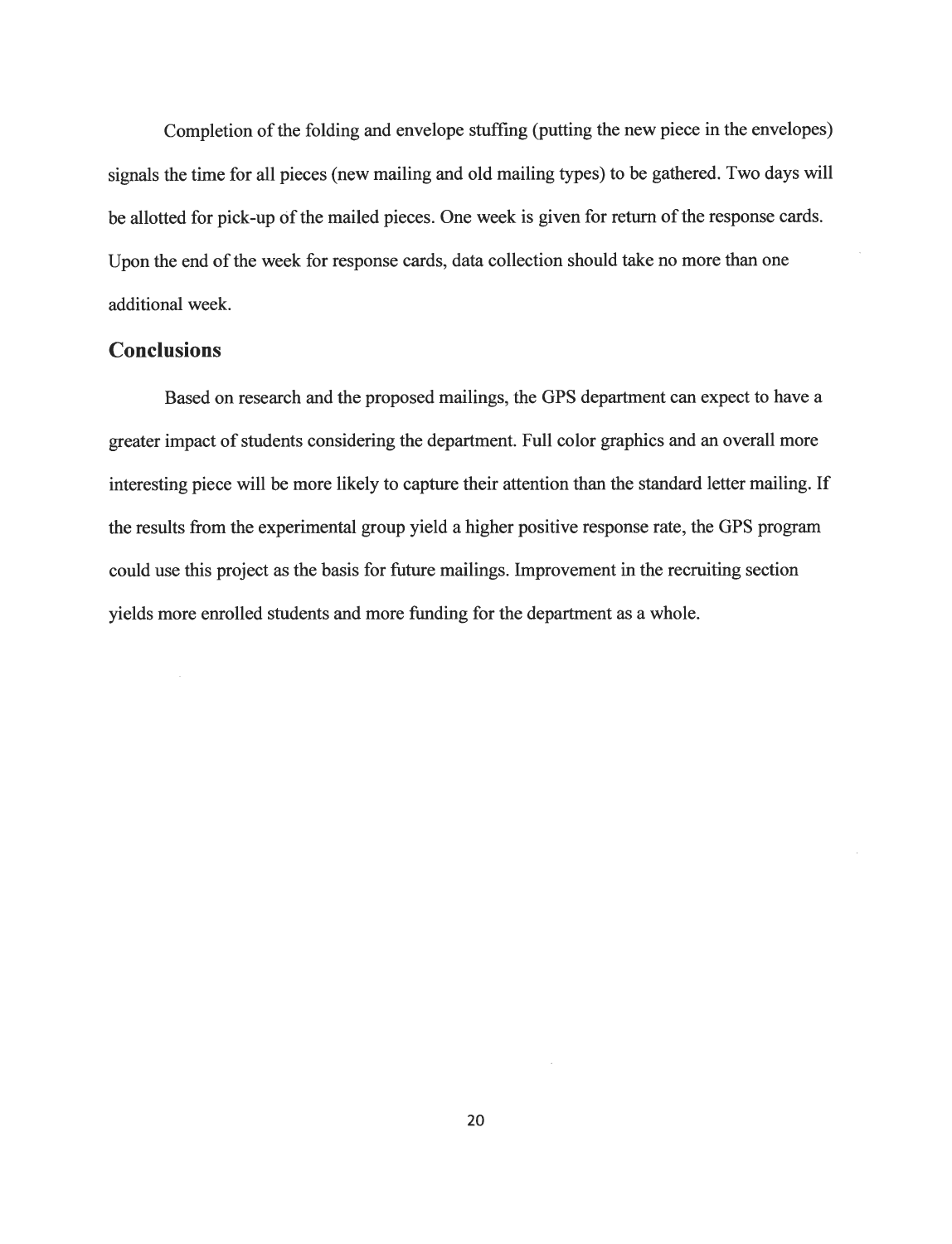Completion of the folding and envelope stuffing (putting the new piece in the envelopes) signals the time for all pieces (new mailing and old mailing types) to be gathered. Two days will be allotted for pick-up of the mailed pieces. One week is given for return of the response cards. Upon the end of the week for response cards, data collection should take no more than one additional week.

#### *Conclusions*

Based on research and the proposed mailings, the GPS department can expect to have a greater impact of students considering the department. Full color graphics and an overall more interesting piece will be more likely to capture their attention than the standard letter mailing. If the results from the experimental group yield a higher positive response rate, the GPS program could use this project as the basis for future mailings. Improvement in the recruiting section yields more enrolled students and more funding for the department as a whole.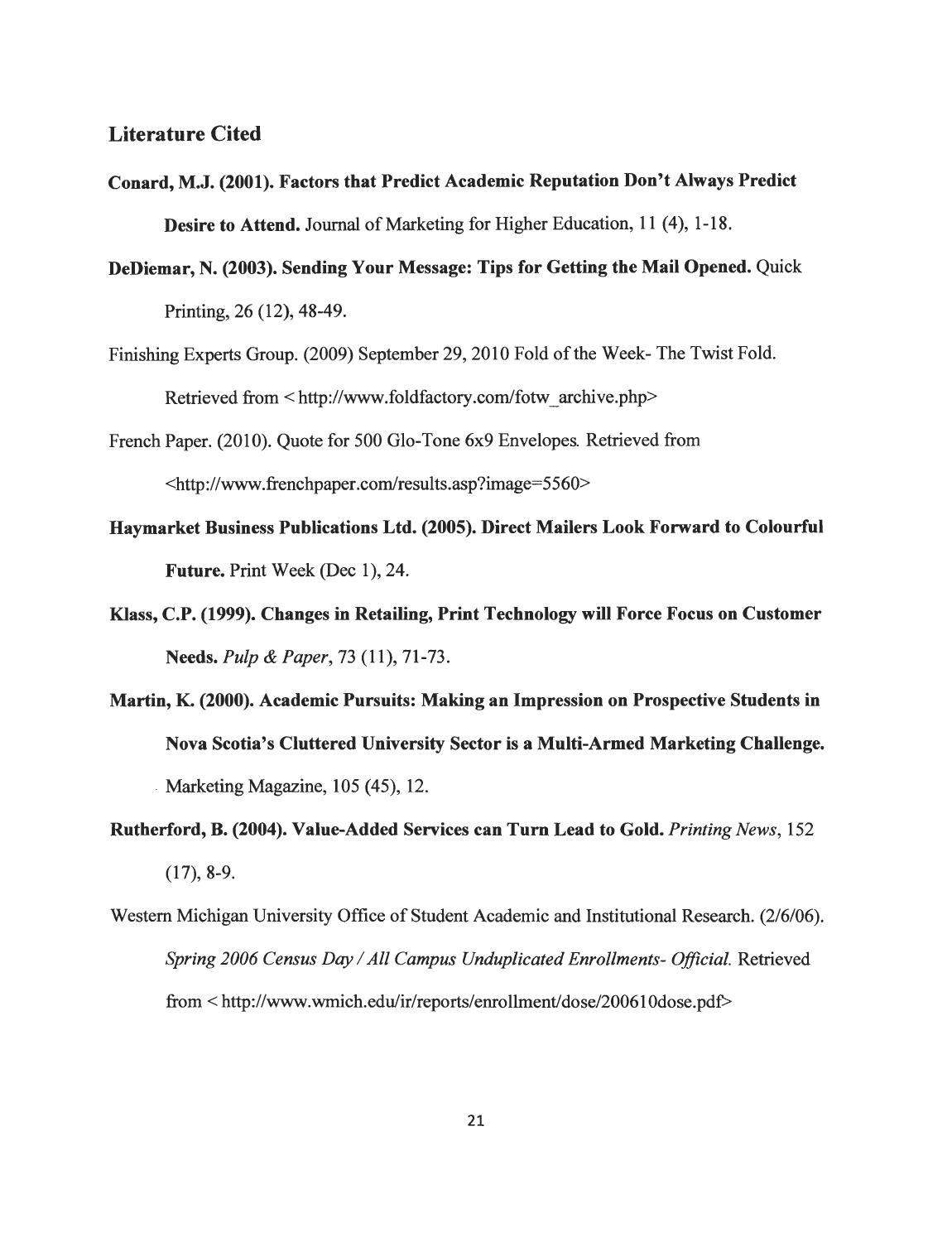#### *Literature Cited*

- *Conard, M.J. (2001). Factors that Predict Academic Reputation Don't Always Predict* **Desire to Attend.** Journal of Marketing for Higher Education, 11 (4), 1-18.
- *DeDiemar, N. (2003). Sending Your Message: Tips for Getting the Mail Opened.* Quick Printing, 26 (12), 48-49.
- Finishing Experts Group. (2009) September 29, 2010 Fold of the Week- The Twist Fold. Retrieved from < http://www.foldfactory.com/fotw\_archive.php>
- French Paper. (2010). Quote for 500 Glo-Tone 6x9 Envelopes. Retrieved from <http://www.frenchpaper.com/results.asp?image=5560>
- *Haymarket Business Publications Ltd. (2005). Direct Mailers Look Forward to Colourful Future.* Print Week (Dec 1), 24.
- *Klass, C.P. (1999). Changes in Retailing, Print Technology will Force Focus on Customer Needs.* **Pulp & Paper,** 73 (11), 71-73.
- *Martin, K. (2000). Academic Pursuits: Making an Impression on Prospective Students in Nova Scotia's Cluttered University Sector is a Multi-Armed Marketing Challenge.* Marketing Magazine, 105 (45), 12.
- *Rutherford, B. (2004). Value-Added Services can Turn Lead to Gold.* **Printing News,** 152 (17), 8-9.
- Western Michigan University Office of Student Academic and Institutional Research. (2/6/06). **Spring 2006 Census Day /All Campus Unduplicated Enrollments- Official.** Retrieved from < http://www.wmich.edu/ir/reports/enrollment/dose/200610dose.pdf>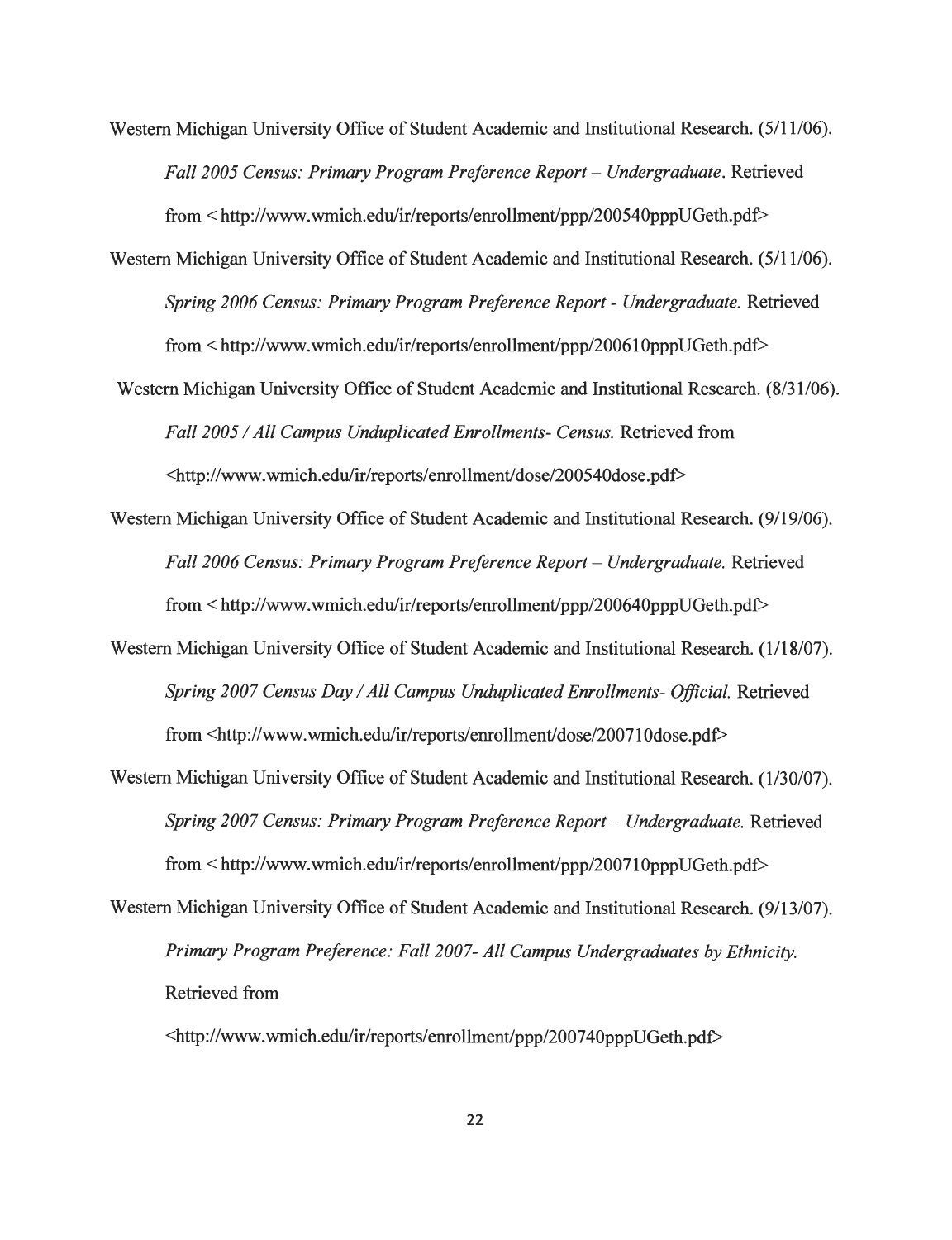- Western Michigan University Office of Student Academic and Institutional Research. (5/11/06). **Fall 2005 Census: Primary Program Preference Report - Undergraduate.** Retrieved from < http://www.wmich.edu/ir/reports/enrollment/ppp/200540pppUGeth.pdf>
- Western Michigan University Office of Student Academic and Institutional Research. (5/11/06). **Spring 2006 Census: Primary Program Preference Report - Undergraduate.** Retrieved from < http://www.wmich.edu/ir/reports/enrollment/ppp/200610pppUGeth.pdf>
- Western Michigan University Office of Student Academic and Institutional Research. (8/31/06). **Fall 2005 /All Campus Unduplicated Enrollments- Census.** Retrieved from <http://www.wmich.edu/ir/reports/enrollment/dose/200540dose.pdf>
- Western Michigan University Office of Student Academic and Institutional Research. (9/19/06). **Fall 2006 Census: Primary Program Preference Report - Undergraduate.** Retrieved from < http://www.wmich.edu/ir/reports/enrollment/ppp/200640pppUGeth.pdf>
- Western Michigan University Office of Student Academic and Institutional Research. (1/18/07). **Spring 2007 CensusDay/All Campus UnduplicatedEnrollments- Official.** Retrieved from <http://www.wmich.edu/ir/reports/enrollment/dose/20071Odose.pdf>
- Western Michigan University Office of Student Academic and Institutional Research. (1/30/07). Spring 2007 Census: Primary Program Preference Report - Undergraduate. Retrieved from < http://www.wmich.edu/ir/reports/enrollment/ppp/200710pppUGeth.pdf> Western Michigan University Office of Student Academic and Institutional Research. (9/13/07).

**Primary Program Preference:** Fall 2007- All Campus Undergraduates by Ethnicity. Retrieved from

<http://www.wmich.edu/ir/reports/enrollment/ppp/200740pppUGeth.pdf>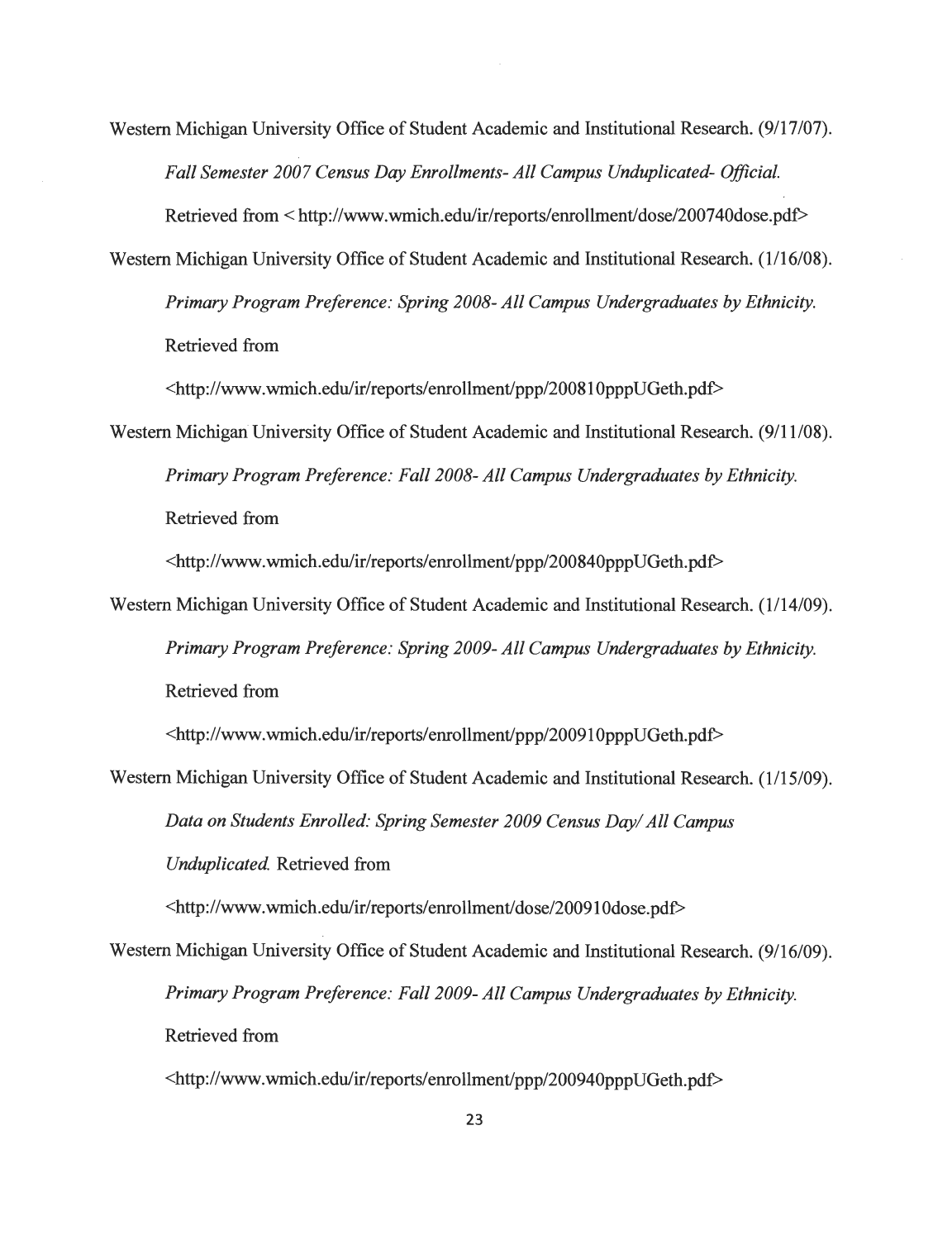Western Michigan University Office of Student Academic and Institutional Research. (9/17/07). **Fall Semester 2007 Census Day Enrollments-All Campus Unduplicated- Official.**

Retrieved from < http://www.wmich.edu/ir/reports/enrollment/dose/200740dose.pdf> Western Michigan University Office of Student Academic and Institutional Research. (1/16/08).

**Primary Program Preference: Spring 2008- All Campus UndergraduatesbyEthnicity.** Retrieved from

<http://www.wmich.edu/ir/reports/enrollment/ppp/20081OpppUGeth.pdf>

Western Michigan University Office of Student Academic and Institutional Research. (9/11/08). Primary Program Preference: Fall 2008- All Campus Undergraduates by Ethnicity. Retrieved from

<http://www.wmich.edu/ir/reports/enrollment/ppp/200840pppUGeth.pdf>

Western Michigan University Office of Student Academic and Institutional Research. (1/14/09). Primary Program Preference: Spring 2009- All Campus Undergraduates by Ethnicity. Retrieved from

<http://www.wmich.edu/ir/reports/enrollment/ppp/20091OpppUGeth.pdf>

Western Michigan University Office of Student Academic and Institutional Research. (1/15/09). **Data on Students Enrolled: SpringSemester 2009 Census Day/ All Campus Unduplicated.** Retrieved from

<http://www.wmich.edu/ir/reports/enrollment/dose/20091Odose.pdf>

Western Michigan University Office of Student Academic and Institutional Research. (9/16/09). **Primary Program Preference: Fall 2009- All Campus Undergraduates byEthnicity.** Retrieved from

<http://www.wmich.edu/ir/reports/enrollment/ppp/200940pppUGeth.pdf>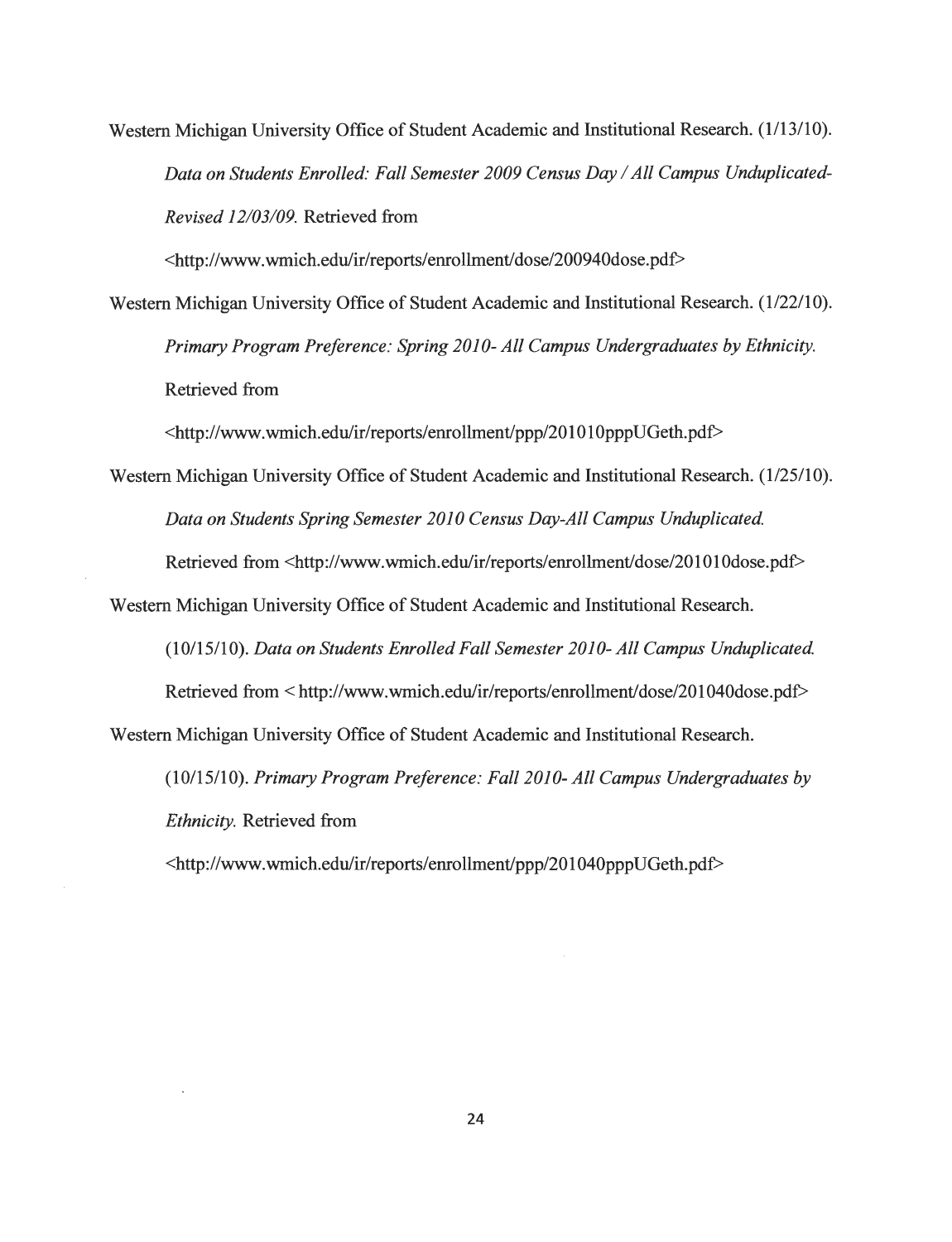Western Michigan University Office of Student Academic and Institutional Research. (1/13/10). Data on Students Enrolled: Fall Semester 2009 Census Day / All Campus Unduplicated-**Revised 12/03/09.** Retrieved from

<http.V/www.wmich.edu/ir/reports/enrollment/dose/200940dose.pdf>

Western Michigan University Office of Student Academic and Institutional Research. (1/22/10). Primary Program Preference: Spring 2010- All Campus Undergraduates by Ethnicity. Retrieved from

<http://www.wmich.edu/ir/reports/enrollment/ppp/201010pppUGeth.pdf>

Western Michigan University Office of Student Academic and Institutional Research. (1/25/10). **Data on Students Spring Semester 2010 Census Day-All Campus Unduplicated.**

Retrieved from <http://www.wmich.edu/ir/reports/enrollment/dose/201010dose.pdf>

Western Michigan University Office of Student Academic and Institutional Research.

(10/15/10). **Data on StudentsEnrolledFall Semester 2010- All Campus Unduplicated.**

Retrieved from < http://www.wmich.edu/ir/reports/enrollment/dose/201040dose.pdf> Western Michigan University Office of Student Academic and Institutional Research.

(10/15/10). **Primary Program Preference: Fall 2010- All Campus Undergraduates by Ethnicity.** Retrieved from

<http://www.wmich.edu/ir/reports/enrollment/ppp/201040pppUGeth.pdf>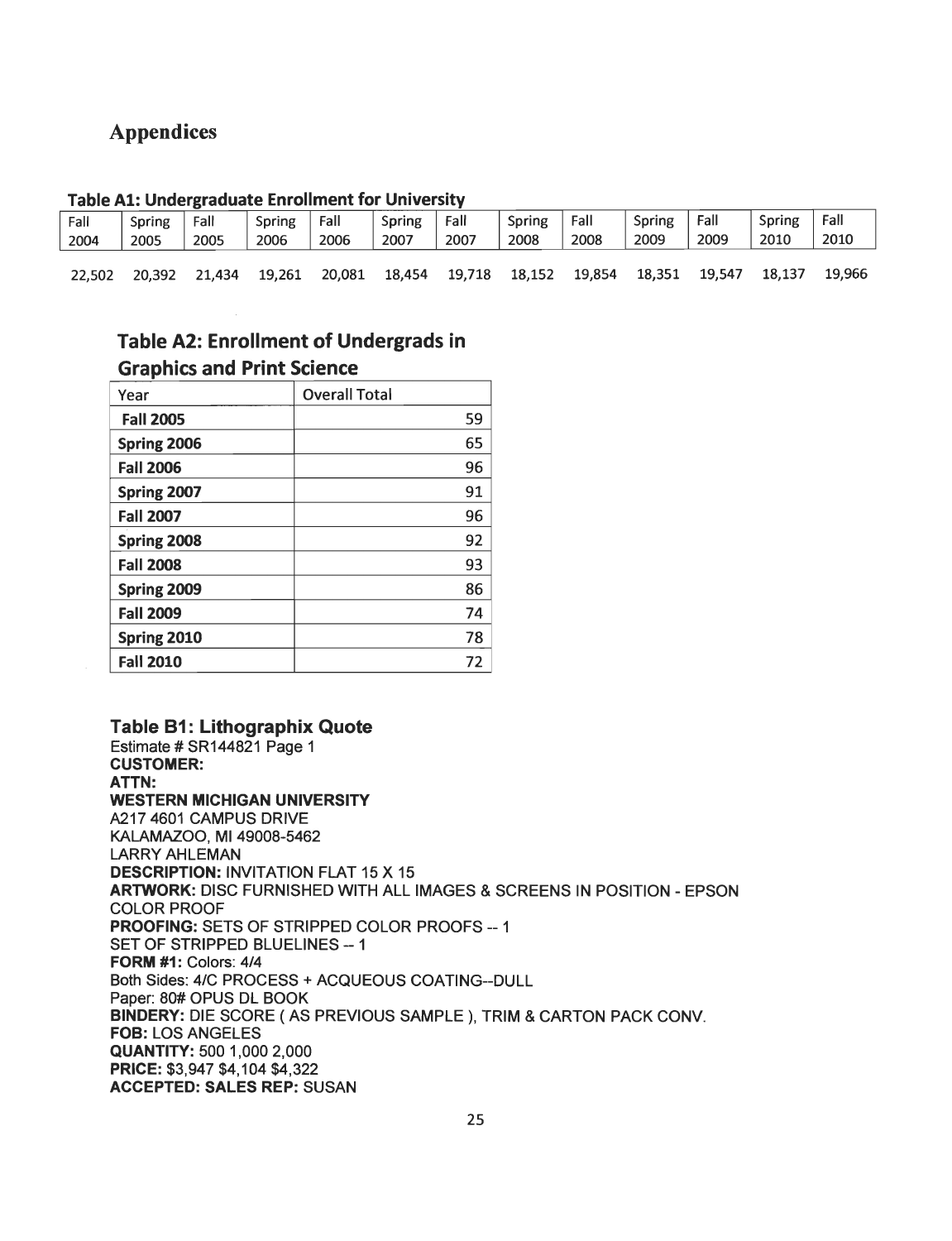## *Appendices*

#### *Table Al: Undergraduate Enrol ment for University*

| Fall   | Spring | Fall   | Spring | Fall   | Spring | Fall   | Spring | Fall   | Spring | Fall   | Spring | Fall   |
|--------|--------|--------|--------|--------|--------|--------|--------|--------|--------|--------|--------|--------|
| 2004   | 2005   | 2005   | 2006   | 2006   | 2007   | 2007   | 2008   | 2008   | 2009   | 2009   | 2010   | 2010   |
| 22,502 | 20.392 | 21,434 | 19,261 | 20,081 | 18,454 | 19,718 | 18,152 | 19,854 | 18,351 | 19,547 | 18,137 | 19.966 |

### *Table A2: Enrollment of Undergrads in Graphics and Print Science*

| Year             | <b>Overall Total</b> |
|------------------|----------------------|
| <b>Fall 2005</b> | 59                   |
| Spring 2006      | 65                   |
| <b>Fall 2006</b> | 96                   |
| Spring 2007      | 91                   |
| <b>Fall 2007</b> | 96                   |
| Spring 2008      | 92                   |
| <b>Fall 2008</b> | 93                   |
| Spring 2009      | 86                   |
| <b>Fall 2009</b> | 74                   |
| Spring 2010      | 78                   |
| <b>Fall 2010</b> | 72                   |

*Table B1: Lithographix Quote* Estimate #SR144821 Page 1 *CUSTOMER: ATTN: WESTERN MICHIGAN UNIVERSITY* A217 4601 CAMPUS DRIVE KALAMAZOO, Ml 49008-5462 LARRY AHLEMAN **DESCRIPTION: INVITATION FLAT 15 X 15** *ARTWORK:* DISC FURNISHED WITH ALL IMAGES & SCREENS IN POSITION - EPSON COLOR PROOF **PROOFING: SETS OF STRIPPED COLOR PROOFS -- 1** SET OF STRIPPED BLUELINES -- 1 *FORM #1:* Colors: 4/4 Both Sides: 4/C PROCESS + ACQUEOUS COATING-DULL Paper: 80# OPUS DL BOOK *BINDERY:* DIE SCORE ( AS PREVIOUS SAMPLE ), TRIM & CARTON PACK CONV. *FOB:* LOS ANGELES *QUANTITY:* 500 1,000 2,000 *PRICE:* \$3,947 \$4,104 \$4,322 *ACCEPTED: SALES REP:* SUSAN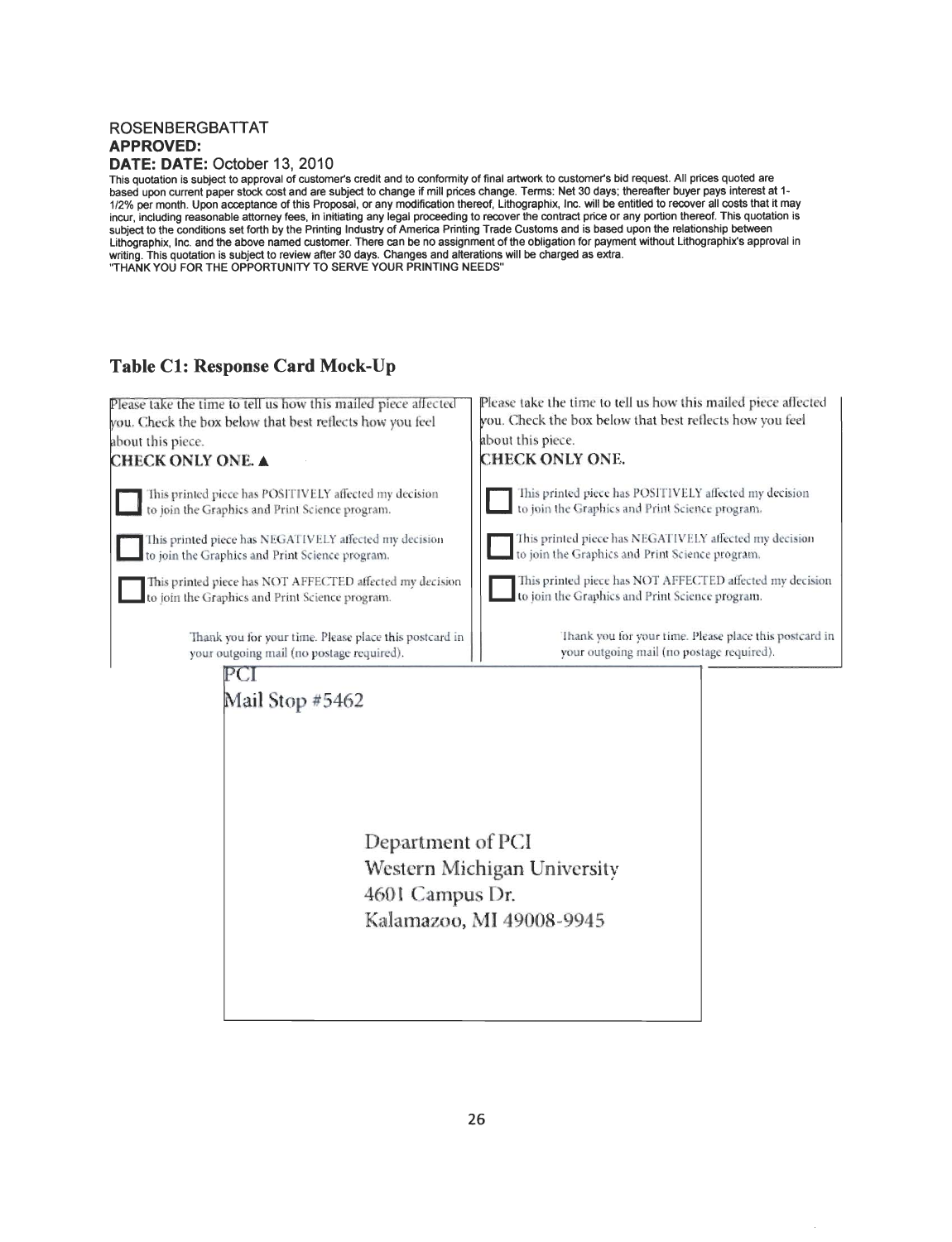#### ROSENBERGBATTAT *APPROVED: DATE: DATE:* October 13, 2010

This quotation is subject to approval of customer's credit and to conformity of final artwork to customer's bid request. All prices quoted are based upon current paper stock cost and are subject to change ifmill prices change. Terms: Net 30 days; thereafter buyer pays interest at 1- 1/2% per month. Upon acceptance of this Proposal, or any modification thereof, Lithographix, Inc. will be entitled to recover all costs that it may incur, including reasonable attorney fees, in initiating any legal proceeding to recover the contract price or any portion thereof. This quotation is<br>subject to the conditions set forth by the Printing Industry of America Lithographix, Inc. and the above named customer. There can be no assignment of the obligation for payment without Lithographix's approval in<br>writing. This quotation is subject to review after 30 days. Changes and alteratio

#### *Table CI: Response Card Mock-Up*

| Please take the time to tell us how this mailed piece affected | Please take the time to tell us how this mailed piece affected |  |  |  |
|----------------------------------------------------------------|----------------------------------------------------------------|--|--|--|
| you. Check the box below that best reflects how you feel       | you. Check the box below that best reflects how you feel       |  |  |  |
| about this piece.                                              | about this piece.                                              |  |  |  |
| <b>CHECK ONLY ONE. A</b>                                       | <b>CHECK ONLY ONE.</b>                                         |  |  |  |
| This printed piece has POSITIVELY affected my decision         | This printed piece has POSITIVELY affected my decision         |  |  |  |
| to join the Graphics and Print Science program.                | to join the Graphics and Print Science program.                |  |  |  |
| This printed piece has NEGATIVELY affected my decision         | This printed piece has NEGATIVELY affected my decision         |  |  |  |
| to join the Graphics and Print Science program.                | to join the Graphics and Print Science program.                |  |  |  |
| This printed piece has NOT AFFECTED affected my decision       | This printed piece has NOT AFFECTED affected my decision       |  |  |  |
| to join the Graphics and Print Science program.                | to join the Graphics and Print Science program.                |  |  |  |
| Thank you for your time. Please place this postcard in         | Thank you for your time. Please place this postcard in         |  |  |  |
| your outgoing mail (no postage required).                      | your outgoing mail (no postage required).                      |  |  |  |
| Mail Stop #5462<br>Department of PCI<br>4601 Campus Dr.        | Western Michigan University<br>Kalamazoo, MI 49008-9945        |  |  |  |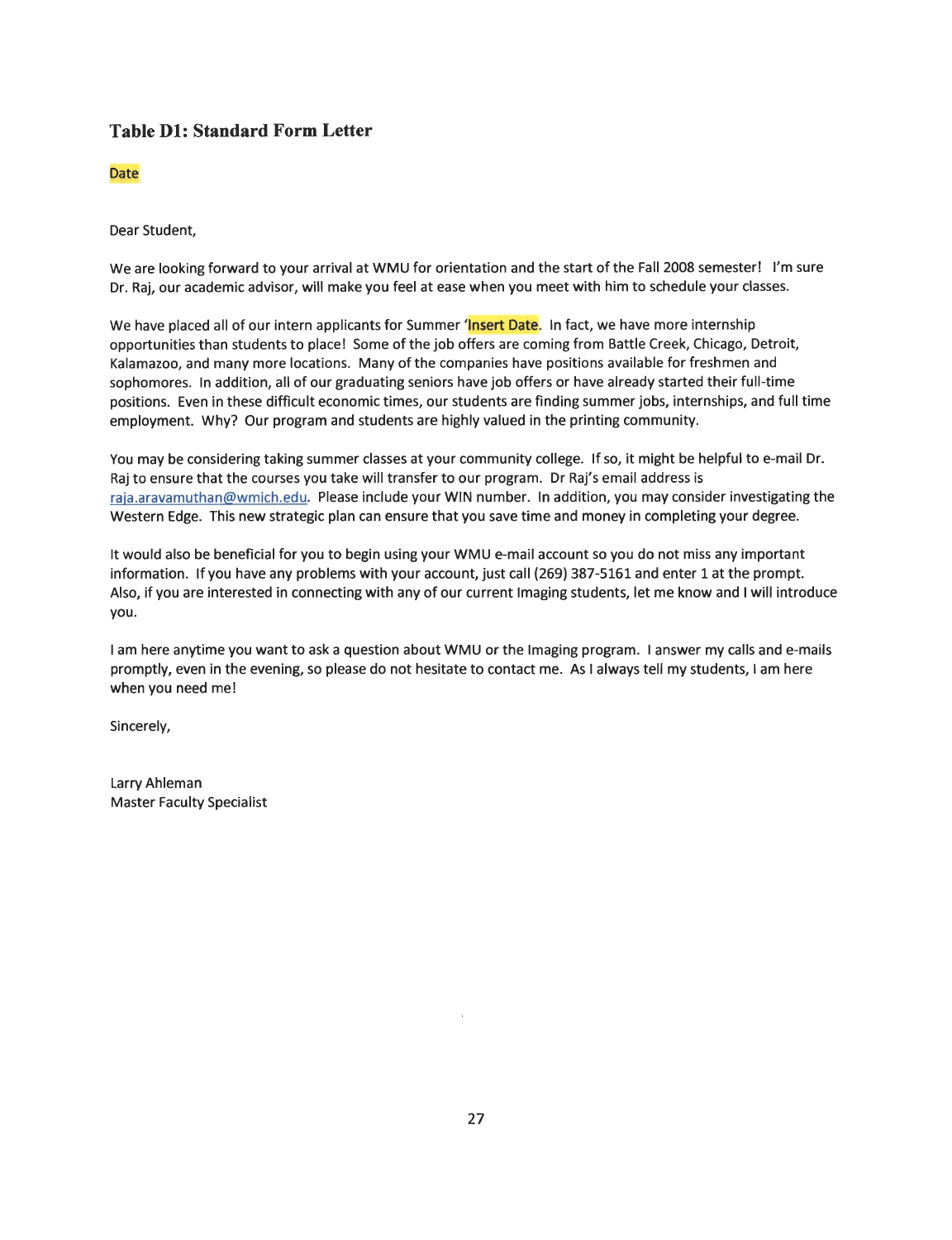#### *Table Dl: Standard Form Letter*

#### Date

Dear Student,

We are looking forward to your arrival at WMU for orientation and the start of the Fall 2008 semester! I'm sure Dr. Raj, our academic advisor, will make you feel at ease when you meet with him to schedule your classes.

We have placed all of our intern applicants for Summer 'Insert Date. In fact, we have more internship opportunities than students to place! Some of the job offers are coming from Battle Creek, Chicago, Detroit, Kalamazoo, and many more locations. Many of the companies have positions available for freshmen and sophomores. In addition, all of our graduating seniors have job offers or have already started their full-time positions. Even in these difficult economic times, our students are finding summer jobs, internships, and full time employment. Why? Our program and students are highly valued in the printing community.

You may be considering taking summer classes at your community college. If so, it might be helpful to e-mail Dr. Raj to ensure that the courses you take will transfer to our program. Dr Raj's email address is raja.aravamuthan@wmich.edu. Please include your WIN number. In addition, you may consider investigating the Western Edge. This new strategic plan can ensure that you save time and money in completing your degree.

It would also be beneficial for you to begin using your WMU e-mail account so you do not miss any important information. If you have any problems with your account, just call (269) 387-5161 and enter 1 at the prompt. Also, if you are interested in connecting with any of our current Imaging students, let me know and Iwill introduce you.

I am here anytime you want to ask a question about WMU or the Imaging program. I answer my calls and e-mails promptly, even in the evening, so please do not hesitate to contact me. As I always tell my students, I am here when you need me!

Sincerely,

Larry Ahleman Master Faculty Specialist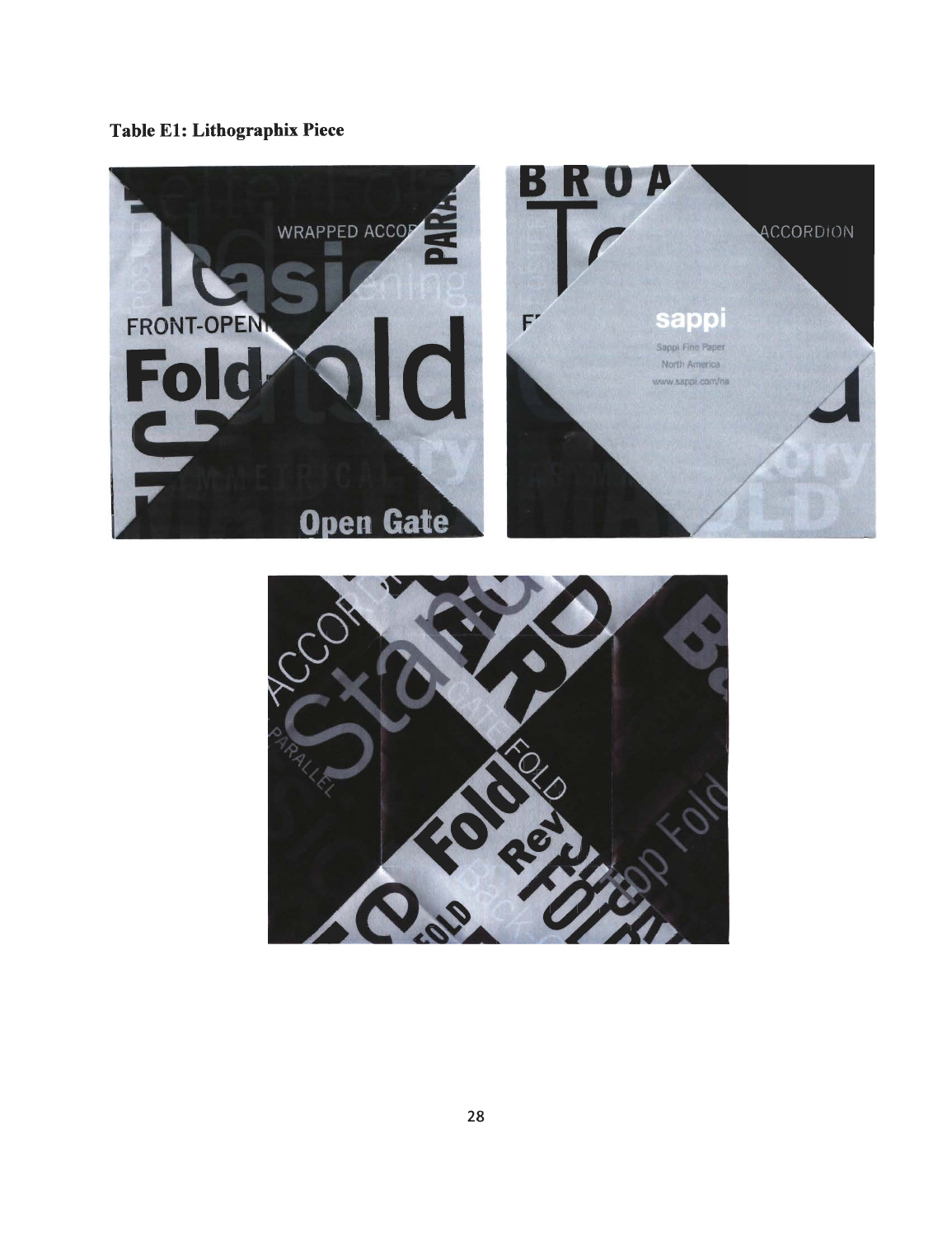## *Table El: Lithographix Piece*



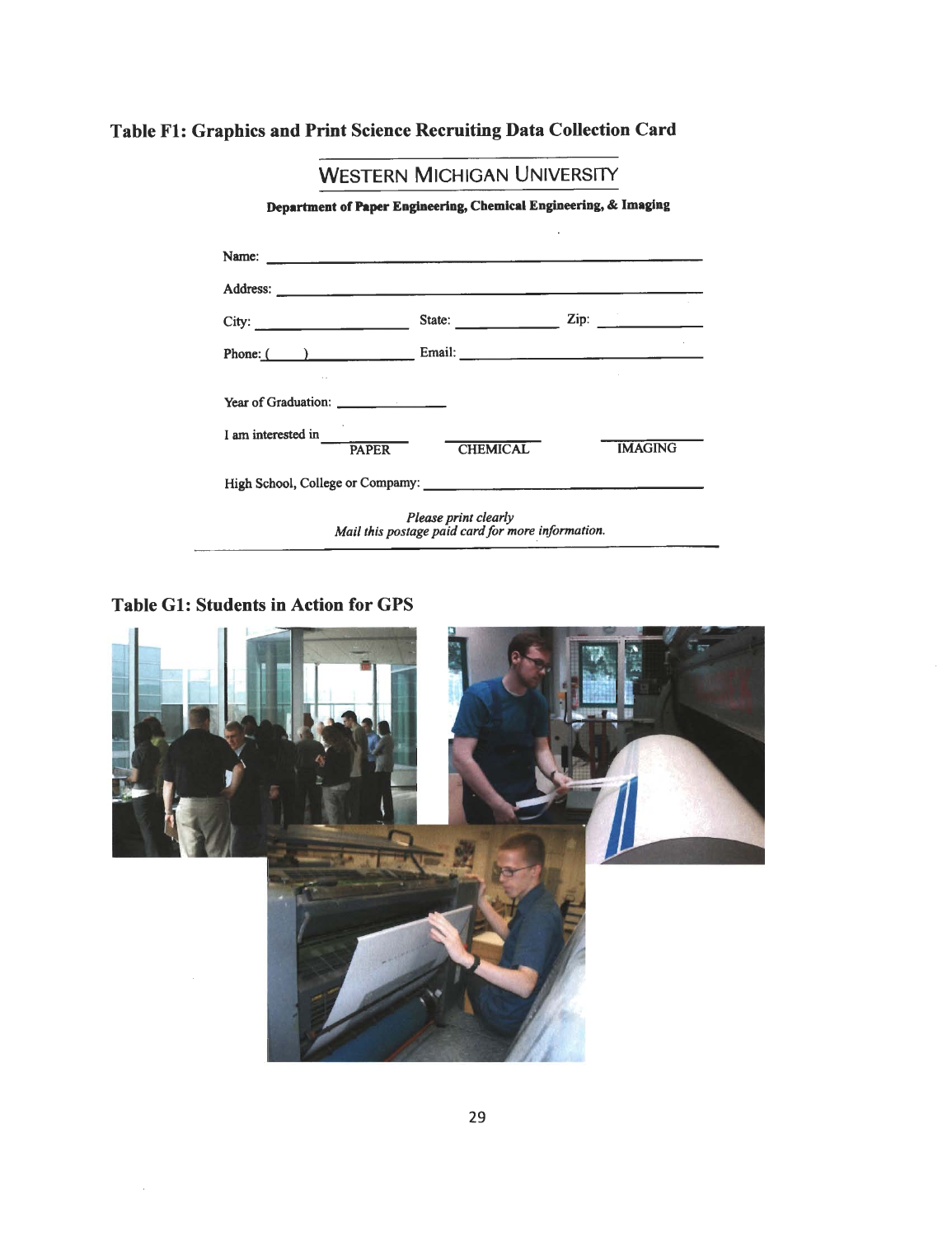## *Table Fl: Graphics and Print Science Recruiting Data Collection Card*

|                                                                  | <b>WESTERN MICHIGAN UNIVERSITY</b>                                                                                                                                                                                                                                                                                                                                                                           |                 |  |  |
|------------------------------------------------------------------|--------------------------------------------------------------------------------------------------------------------------------------------------------------------------------------------------------------------------------------------------------------------------------------------------------------------------------------------------------------------------------------------------------------|-----------------|--|--|
| Department of Paper Engineering, Chemical Engineering, & Imaging |                                                                                                                                                                                                                                                                                                                                                                                                              |                 |  |  |
|                                                                  |                                                                                                                                                                                                                                                                                                                                                                                                              |                 |  |  |
|                                                                  |                                                                                                                                                                                                                                                                                                                                                                                                              |                 |  |  |
| City:                                                            | State: $\frac{1}{\sqrt{1-\frac{1}{2}}\sqrt{1-\frac{1}{2}}\sqrt{1-\frac{1}{2}}\sqrt{1-\frac{1}{2}}\sqrt{1-\frac{1}{2}}\sqrt{1-\frac{1}{2}}\sqrt{1-\frac{1}{2}}\sqrt{1-\frac{1}{2}}\sqrt{1-\frac{1}{2}}\sqrt{1-\frac{1}{2}}\sqrt{1-\frac{1}{2}}\sqrt{1-\frac{1}{2}}\sqrt{1-\frac{1}{2}}\sqrt{1-\frac{1}{2}}\sqrt{1-\frac{1}{2}}\sqrt{1-\frac{1}{2}}\sqrt{1-\frac{1}{2}}\sqrt{1-\frac{1}{2}}\sqrt{1-\frac{1}{2$ | $\mathsf{Zip:}$ |  |  |
|                                                                  |                                                                                                                                                                                                                                                                                                                                                                                                              |                 |  |  |
| Year of Graduation: _________________                            |                                                                                                                                                                                                                                                                                                                                                                                                              |                 |  |  |
| I am interested in<br><b>PAPER</b>                               | <b>CHEMICAL</b>                                                                                                                                                                                                                                                                                                                                                                                              | <b>IMAGING</b>  |  |  |
|                                                                  |                                                                                                                                                                                                                                                                                                                                                                                                              |                 |  |  |
|                                                                  | Please print clearly<br>Mail this postage paid card for more information.                                                                                                                                                                                                                                                                                                                                    |                 |  |  |

*Table Gl: Students in Action for GPS*

 $\bar{z}$